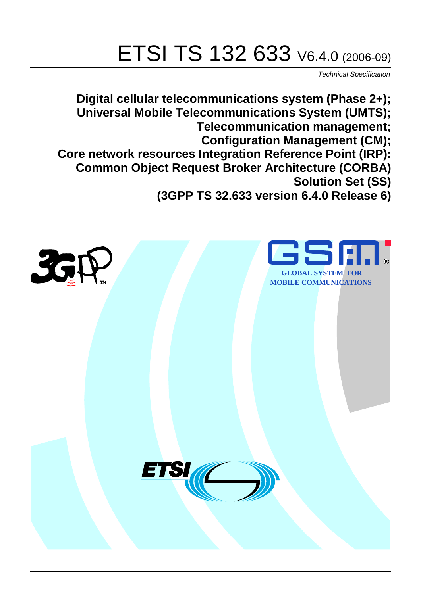# ETSI TS 132 633 V6.4.0 (2006-09)

Technical Specification

**Digital cellular telecommunications system (Phase 2+); Universal Mobile Telecommunications System (UMTS); Telecommunication management; Configuration Management (CM); Core network resources Integration Reference Point (IRP): Common Object Request Broker Architecture (CORBA) Solution Set (SS) (3GPP TS 32.633 version 6.4.0 Release 6)**

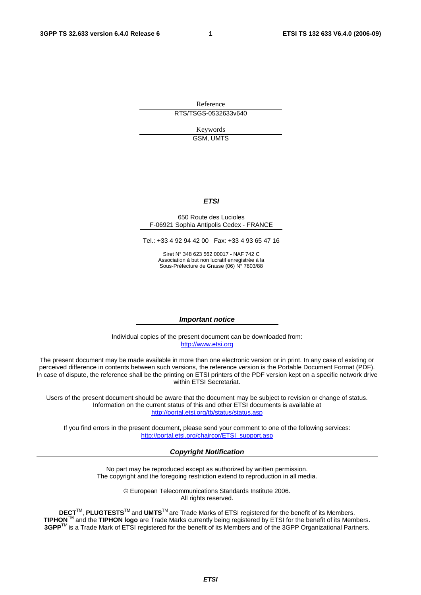Reference RTS/TSGS-0532633v640

> Keywords GSM, UMTS

#### **ETSI**

#### 650 Route des Lucioles F-06921 Sophia Antipolis Cedex - FRANCE

Tel.: +33 4 92 94 42 00 Fax: +33 4 93 65 47 16

Siret N° 348 623 562 00017 - NAF 742 C Association à but non lucratif enregistrée à la Sous-Préfecture de Grasse (06) N° 7803/88

#### **Important notice**

Individual copies of the present document can be downloaded from: [http://www.etsi.org](http://www.etsi.org/)

The present document may be made available in more than one electronic version or in print. In any case of existing or perceived difference in contents between such versions, the reference version is the Portable Document Format (PDF). In case of dispute, the reference shall be the printing on ETSI printers of the PDF version kept on a specific network drive within ETSI Secretariat.

Users of the present document should be aware that the document may be subject to revision or change of status. Information on the current status of this and other ETSI documents is available at <http://portal.etsi.org/tb/status/status.asp>

If you find errors in the present document, please send your comment to one of the following services: [http://portal.etsi.org/chaircor/ETSI\\_support.asp](http://portal.etsi.org/chaircor/ETSI_support.asp)

#### **Copyright Notification**

No part may be reproduced except as authorized by written permission. The copyright and the foregoing restriction extend to reproduction in all media.

> © European Telecommunications Standards Institute 2006. All rights reserved.

**DECT**TM, **PLUGTESTS**TM and **UMTS**TM are Trade Marks of ETSI registered for the benefit of its Members. **TIPHON**TM and the **TIPHON logo** are Trade Marks currently being registered by ETSI for the benefit of its Members. **3GPP**TM is a Trade Mark of ETSI registered for the benefit of its Members and of the 3GPP Organizational Partners.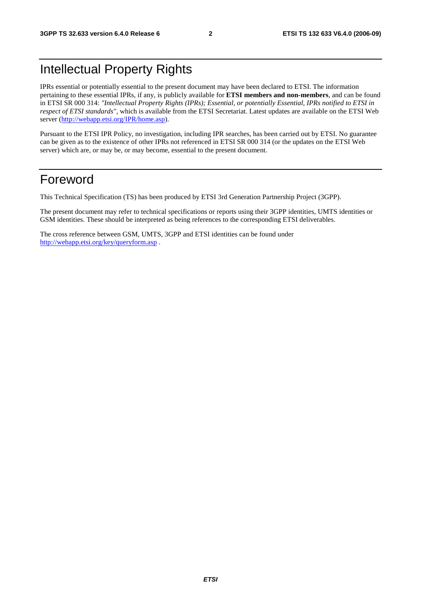# Intellectual Property Rights

IPRs essential or potentially essential to the present document may have been declared to ETSI. The information pertaining to these essential IPRs, if any, is publicly available for **ETSI members and non-members**, and can be found in ETSI SR 000 314: *"Intellectual Property Rights (IPRs); Essential, or potentially Essential, IPRs notified to ETSI in respect of ETSI standards"*, which is available from the ETSI Secretariat. Latest updates are available on the ETSI Web server ([http://webapp.etsi.org/IPR/home.asp\)](http://webapp.etsi.org/IPR/home.asp).

Pursuant to the ETSI IPR Policy, no investigation, including IPR searches, has been carried out by ETSI. No guarantee can be given as to the existence of other IPRs not referenced in ETSI SR 000 314 (or the updates on the ETSI Web server) which are, or may be, or may become, essential to the present document.

# Foreword

This Technical Specification (TS) has been produced by ETSI 3rd Generation Partnership Project (3GPP).

The present document may refer to technical specifications or reports using their 3GPP identities, UMTS identities or GSM identities. These should be interpreted as being references to the corresponding ETSI deliverables.

The cross reference between GSM, UMTS, 3GPP and ETSI identities can be found under <http://webapp.etsi.org/key/queryform.asp>.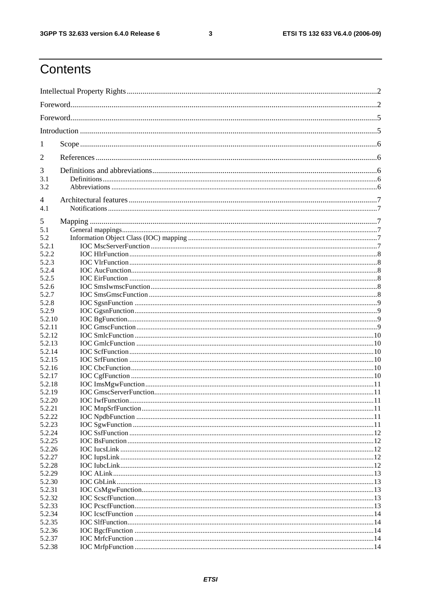#### $\mathbf{3}$

# Contents

| 1                |  |
|------------------|--|
| 2                |  |
| 3                |  |
| 3.1              |  |
| 3.2              |  |
| 4                |  |
| 4.1              |  |
|                  |  |
| 5                |  |
| 5.1<br>5.2       |  |
| 5.2.1            |  |
| 5.2.2            |  |
| 5.2.3            |  |
| 5.2.4            |  |
| 5.2.5            |  |
| 5.2.6            |  |
| 5.2.7            |  |
| 5.2.8            |  |
| 5.2.9            |  |
| 5.2.10           |  |
| 5.2.11           |  |
| 5.2.12           |  |
| 5.2.13           |  |
| 5.2.14           |  |
| 5.2.15           |  |
| 5.2.16           |  |
| 5.2.17           |  |
| 5.2.18           |  |
| 5.2.19           |  |
| 5.2.20           |  |
| 5.2.21           |  |
| 5.2.22           |  |
| 5.2.23<br>5.2.24 |  |
| 5.2.25           |  |
| 5.2.26           |  |
| 5.2.27           |  |
| 5.2.28           |  |
| 5.2.29           |  |
| 5.2.30           |  |
| 5.2.31           |  |
| 5.2.32           |  |
| 5.2.33           |  |
| 5.2.34           |  |
| 5.2.35           |  |
| 5.2.36           |  |
| 5.2.37           |  |
| 5.2.38           |  |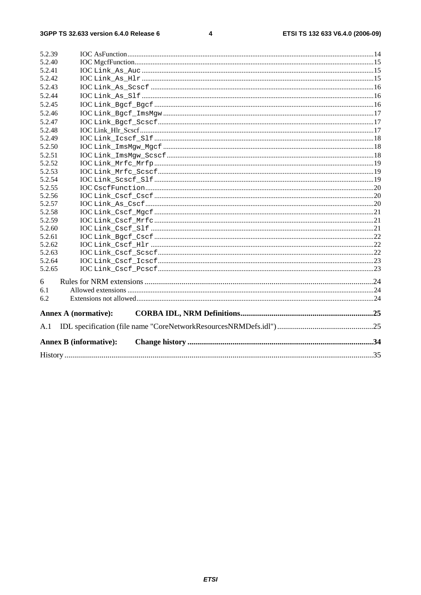#### $\overline{\mathbf{4}}$

| 5.2.39 |                               |  |
|--------|-------------------------------|--|
| 5.2.40 |                               |  |
| 5.2.41 |                               |  |
| 5.2.42 |                               |  |
| 5.2.43 |                               |  |
| 5.2.44 |                               |  |
| 5.2.45 |                               |  |
| 5.2.46 |                               |  |
| 5.2.47 |                               |  |
| 5.2.48 |                               |  |
| 5.2.49 |                               |  |
| 5.2.50 |                               |  |
| 5.2.51 |                               |  |
| 5.2.52 |                               |  |
| 5.2.53 |                               |  |
| 5.2.54 |                               |  |
| 5.2.55 |                               |  |
| 5.2.56 |                               |  |
| 5.2.57 |                               |  |
| 5.2.58 |                               |  |
| 5.2.59 |                               |  |
| 5.2.60 |                               |  |
| 5.2.61 |                               |  |
| 5.2.62 |                               |  |
| 5.2.63 |                               |  |
| 5.2.64 |                               |  |
| 5.2.65 |                               |  |
| 6      |                               |  |
| 6.1    |                               |  |
| 6.2    |                               |  |
|        |                               |  |
|        | <b>Annex A (normative):</b>   |  |
| A.1    |                               |  |
|        | <b>Annex B (informative):</b> |  |
|        |                               |  |
|        |                               |  |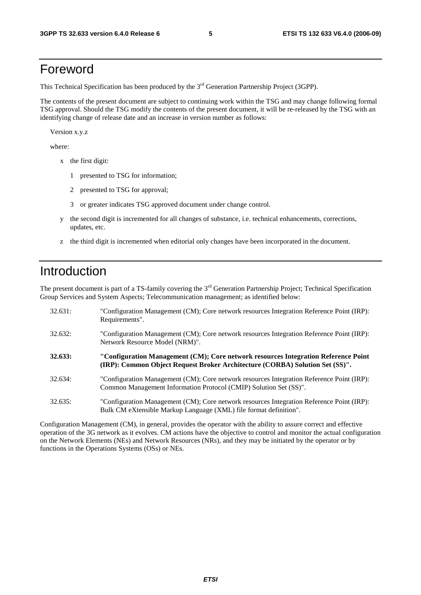# Foreword

This Technical Specification has been produced by the 3<sup>rd</sup> Generation Partnership Project (3GPP).

The contents of the present document are subject to continuing work within the TSG and may change following formal TSG approval. Should the TSG modify the contents of the present document, it will be re-released by the TSG with an identifying change of release date and an increase in version number as follows:

Version x.y.z

where:

- x the first digit:
	- 1 presented to TSG for information;
	- 2 presented to TSG for approval;
	- 3 or greater indicates TSG approved document under change control.
- y the second digit is incremented for all changes of substance, i.e. technical enhancements, corrections, updates, etc.
- z the third digit is incremented when editorial only changes have been incorporated in the document.

# Introduction

The present document is part of a TS-family covering the 3<sup>rd</sup> Generation Partnership Project; Technical Specification Group Services and System Aspects; Telecommunication management; as identified below:

| 32.631: | "Configuration Management (CM); Core network resources Integration Reference Point (IRP):<br>Requirements".                                                        |
|---------|--------------------------------------------------------------------------------------------------------------------------------------------------------------------|
| 32.632: | "Configuration Management (CM); Core network resources Integration Reference Point (IRP):<br>Network Resource Model (NRM)".                                        |
| 32.633: | "Configuration Management (CM); Core network resources Integration Reference Point<br>(IRP): Common Object Request Broker Architecture (CORBA) Solution Set (SS)". |
| 32.634: | "Configuration Management (CM); Core network resources Integration Reference Point (IRP):<br>Common Management Information Protocol (CMIP) Solution Set (SS)".     |
| 32.635: | "Configuration Management (CM); Core network resources Integration Reference Point (IRP):<br>Bulk CM eXtensible Markup Language (XML) file format definition".     |

Configuration Management (CM), in general, provides the operator with the ability to assure correct and effective operation of the 3G network as it evolves. CM actions have the objective to control and monitor the actual configuration on the Network Elements (NEs) and Network Resources (NRs), and they may be initiated by the operator or by functions in the Operations Systems (OSs) or NEs.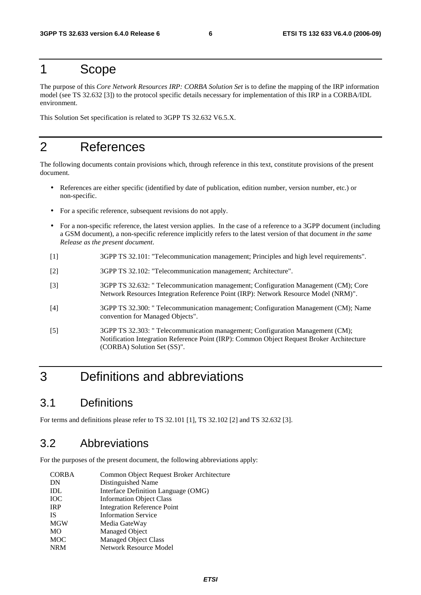# 1 Scope

The purpose of this *Core Network Resources IRP: CORBA Solution Set* is to define the mapping of the IRP information model (see TS 32.632 [3]) to the protocol specific details necessary for implementation of this IRP in a CORBA/IDL environment.

This Solution Set specification is related to 3GPP TS 32.632 V6.5.X.

# 2 References

The following documents contain provisions which, through reference in this text, constitute provisions of the present document.

- References are either specific (identified by date of publication, edition number, version number, etc.) or non-specific.
- For a specific reference, subsequent revisions do not apply.
- For a non-specific reference, the latest version applies. In the case of a reference to a 3GPP document (including a GSM document), a non-specific reference implicitly refers to the latest version of that document *in the same Release as the present document*.
- [1] 3GPP TS 32.101: "Telecommunication management; Principles and high level requirements".
- [2] 3GPP TS 32.102: "Telecommunication management; Architecture".
- [3] 3GPP TS 32.632: " Telecommunication management; Configuration Management (CM); Core Network Resources Integration Reference Point (IRP): Network Resource Model (NRM)".
- [4] 3GPP TS 32.300: " Telecommunication management; Configuration Management (CM); Name convention for Managed Objects".
- [5] 3GPP TS 32.303: " Telecommunication management; Configuration Management (CM); Notification Integration Reference Point (IRP): Common Object Request Broker Architecture (CORBA) Solution Set (SS)".

# 3 Definitions and abbreviations

# 3.1 Definitions

For terms and definitions please refer to TS 32.101 [1], TS 32.102 [2] and TS 32.632 [3].

### 3.2 Abbreviations

For the purposes of the present document, the following abbreviations apply:

| <b>CORBA</b> | Common Object Request Broker Architecture |
|--------------|-------------------------------------------|
| DN           | Distinguished Name                        |
| IDL          | Interface Definition Language (OMG)       |
| <b>IOC</b>   | <b>Information Object Class</b>           |
| <b>IRP</b>   | <b>Integration Reference Point</b>        |
| <b>IS</b>    | <b>Information Service</b>                |
| <b>MGW</b>   | Media GateWay                             |
| MO           | Managed Object                            |
| <b>MOC</b>   | <b>Managed Object Class</b>               |
| <b>NRM</b>   | <b>Network Resource Model</b>             |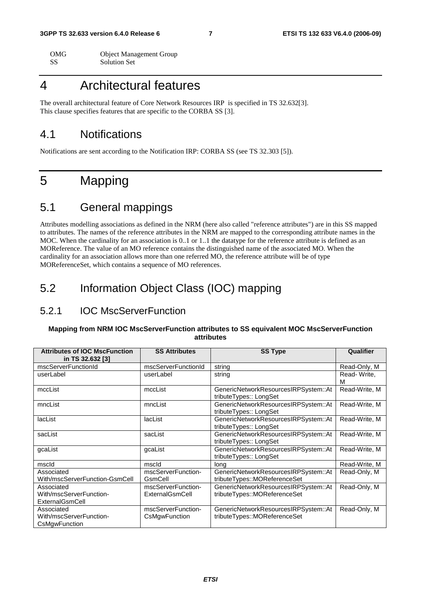| OMG | <b>Object Management Group</b> |
|-----|--------------------------------|
| -SS | <b>Solution Set</b>            |

# 4 Architectural features

The overall architectural feature of Core Network Resources IRP is specified in TS 32.632[3]. This clause specifies features that are specific to the CORBA SS [3].

### 4.1 Notifications

Notifications are sent according to the Notification IRP: CORBA SS (see TS 32.303 [5]).

# 5 Mapping

# 5.1 General mappings

Attributes modelling associations as defined in the NRM (here also called "reference attributes") are in this SS mapped to attributes. The names of the reference attributes in the NRM are mapped to the corresponding attribute names in the MOC. When the cardinality for an association is 0..1 or 1..1 the datatype for the reference attribute is defined as an MOReference. The value of an MO reference contains the distinguished name of the associated MO. When the cardinality for an association allows more than one referred MO, the reference attribute will be of type MOReferenceSet, which contains a sequence of MO references.

# 5.2 Information Object Class (IOC) mapping

### 5.2.1 IOC MscServerFunction

#### **Mapping from NRM IOC MscServerFunction attributes to SS equivalent MOC MscServerFunction attributes**

| <b>Attributes of IOC MscFunction</b><br>in TS 32.632 [3] | <b>SS Attributes</b><br><b>SS Type</b> |                                                                      | Qualifier        |
|----------------------------------------------------------|----------------------------------------|----------------------------------------------------------------------|------------------|
| mscServerFunctionId                                      | mscServerFunctionId                    | string                                                               | Read-Only, M     |
| userLabel                                                | userLabel                              | string                                                               | Read-Write,<br>м |
| mccList                                                  | mccList                                | GenericNetworkResourcesIRPSystem::At<br>tributeTypes:: LongSet       | Read-Write, M    |
| mncList                                                  | mncList                                | GenericNetworkResourcesIRPSystem::At<br>tributeTypes:: LongSet       | Read-Write, M    |
| lacList                                                  | lacList                                | GenericNetworkResourcesIRPSystem::At<br>tributeTypes:: LongSet       | Read-Write, M    |
| sacList                                                  | sacList                                | GenericNetworkResourcesIRPSystem::At<br>tributeTypes:: LongSet       | Read-Write, M    |
| gcaList                                                  | gcaList                                | GenericNetworkResourcesIRPSystem::At<br>tributeTypes:: LongSet       | Read-Write, M    |
| mscld                                                    | mscld                                  | lona                                                                 | Read-Write, M    |
| Associated<br>With/mscServerFunction-GsmCell             | mscServerFunction-<br>GsmCell          | GenericNetworkResourcesIRPSystem::At<br>tributeTypes::MOReferenceSet | Read-Only, M     |
| Associated<br>With/mscServerFunction-<br>ExternalGsmCell | mscServerFunction-<br>ExternalGsmCell  | GenericNetworkResourcesIRPSystem::At<br>tributeTypes::MOReferenceSet | Read-Only, M     |
| Associated<br>With/mscServerFunction-<br>CsMgwFunction   | mscServerFunction-<br>CsMgwFunction    | GenericNetworkResourcesIRPSystem::At<br>tributeTypes::MOReferenceSet | Read-Only, M     |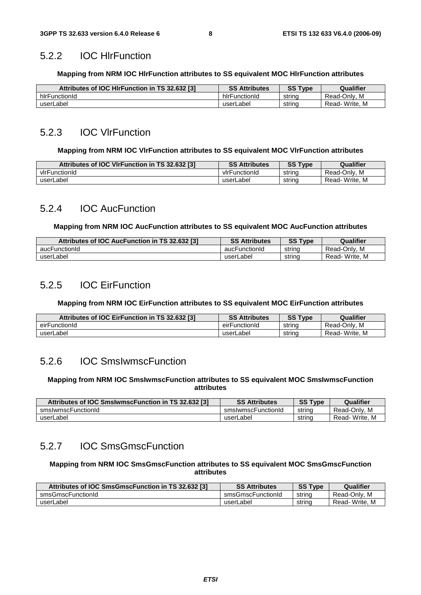### 5.2.2 IOC HlrFunction

#### **Mapping from NRM IOC HlrFunction attributes to SS equivalent MOC HlrFunction attributes**

| Attributes of IOC HIrFunction in TS 32.632 [3] | <b>SS Attributes</b> | SS<br>$T$ vpe | Qualifier     |
|------------------------------------------------|----------------------|---------------|---------------|
| hirFunctionId                                  | hirFunctionId        | string        | Read-Only, M  |
| userLabel                                      | userLabel            | string        | Read-Write, M |

### 5.2.3 IOC VlrFunction

#### **Mapping from NRM IOC VlrFunction attributes to SS equivalent MOC VlrFunction attributes**

| Attributes of IOC VIrFunction in TS 32.632 [3] | <b>SS Attributes</b> | <b>SS Type</b> | Qualifier         |
|------------------------------------------------|----------------------|----------------|-------------------|
| virFunctionId                                  | virFunctionId        | string         | . M<br>Read-Only. |
| userLabel                                      | userLabel            | string         | Read-Write, M     |

### 5.2.4 IOC AucFunction

#### **Mapping from NRM IOC AucFunction attributes to SS equivalent MOC AucFunction attributes**

| Attributes of IOC AucFunction in TS 32.632 [3] | <b>SS Attributes</b> | <b>SS Type</b> | Qualifier     |
|------------------------------------------------|----------------------|----------------|---------------|
| aucFunctionId                                  | aucFunctionId        | strina         | Read-Only, M  |
| userLabel                                      | userLabel            | string         | Read-Write, M |

### 5.2.5 IOC EirFunction

#### **Mapping from NRM IOC EirFunction attributes to SS equivalent MOC EirFunction attributes**

| Attributes of IOC EirFunction in TS 32.632 [3] | <b>SS Attributes</b> | <b>SS Type</b> | Qualifier         |
|------------------------------------------------|----------------------|----------------|-------------------|
| eirFunctionId                                  | eirFunctionId        | string         | . M<br>Read-Only  |
| userLabel                                      | userLabel            | string         | Write. M<br>Read- |

### 5.2.6 IOC SmsIwmscFunction

#### **Mapping from NRM IOC SmsIwmscFunction attributes to SS equivalent MOC SmsIwmscFunction attributes**

| Attributes of IOC SmsIwmscFunction in TS 32.632 [3] | <b>SS Attributes</b> | <b>SS Type</b> | Qualifier     |
|-----------------------------------------------------|----------------------|----------------|---------------|
| smsIwmscFunctionId                                  | smslwmscFunctionId   | string         | Read-Only, M  |
| userLabel                                           | userLabel            | strina         | Read-Write, M |

### 5.2.7 IOC SmsGmscFunction

#### **Mapping from NRM IOC SmsGmscFunction attributes to SS equivalent MOC SmsGmscFunction attributes**

| Attributes of IOC SmsGmscFunction in TS 32.632 [3] | <b>SS Attributes</b> | <b>SS Type</b> | Qualifier     |
|----------------------------------------------------|----------------------|----------------|---------------|
| smsGmscFunctionId                                  | smsGmscFunctionId    | string         | Read-Only, M  |
| userLabel                                          | userLabel            | string         | Read-Write, M |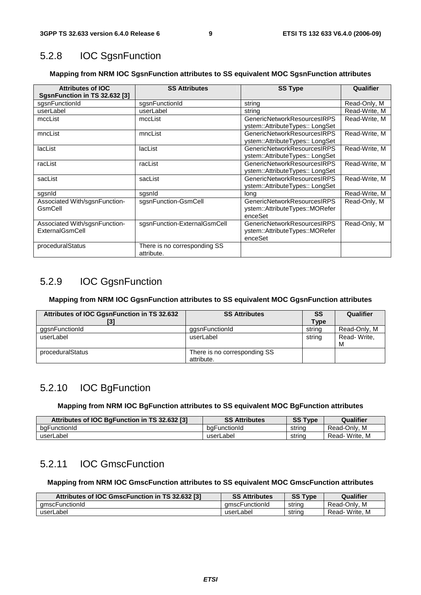### 5.2.8 IOC SgsnFunction

#### **Mapping from NRM IOC SgsnFunction attributes to SS equivalent MOC SgsnFunction attributes**

| <b>Attributes of IOC</b><br>SgsnFunction in TS 32.632 [3] | <b>SS Attributes</b>                       | <b>SS Type</b>                                                           | Qualifier     |
|-----------------------------------------------------------|--------------------------------------------|--------------------------------------------------------------------------|---------------|
| sgsnFunctionId                                            | sgsnFunctionId                             | string                                                                   | Read-Only, M  |
| userLabel                                                 | userLabel                                  | string                                                                   | Read-Write, M |
| mccList                                                   | mccList                                    | <b>GenericNetworkResourcesIRPS</b><br>ystem::AttributeTypes:: LongSet    | Read-Write, M |
| mncList                                                   | mncList                                    | GenericNetworkResourcesIRPS<br>ystem::AttributeTypes:: LongSet           | Read-Write, M |
| lacList                                                   | lacList                                    | GenericNetworkResourcesIRPS<br>ystem::AttributeTypes:: LongSet           | Read-Write, M |
| racList                                                   | racList                                    | GenericNetworkResourcesIRPS<br>ystem::AttributeTypes:: LongSet           | Read-Write, M |
| sacList                                                   | sacList                                    | GenericNetworkResourcesIRPS<br>ystem::AttributeTypes:: LongSet           | Read-Write, M |
| sgsnid                                                    | sgsnid                                     | lona                                                                     | Read-Write, M |
| Associated With/sgsnFunction-<br>GsmCell                  | sgsnFunction-GsmCell                       | GenericNetworkResourcesIRPS<br>ystem::AttributeTypes::MORefer<br>enceSet | Read-Only, M  |
| Associated With/sgsnFunction-<br>ExternalGsmCell          | sgsnFunction-ExternalGsmCell               | GenericNetworkResourcesIRPS<br>ystem::AttributeTypes::MORefer<br>enceSet | Read-Only, M  |
| proceduralStatus                                          | There is no corresponding SS<br>attribute. |                                                                          |               |

### 5.2.9 IOC GgsnFunction

#### **Mapping from NRM IOC GgsnFunction attributes to SS equivalent MOC GgsnFunction attributes**

| Attributes of IOC GgsnFunction in TS 32.632 | <b>SS Attributes</b>                       | SS          | Qualifier        |
|---------------------------------------------|--------------------------------------------|-------------|------------------|
| [3]                                         |                                            | <b>Type</b> |                  |
| ggsnFunctionId                              | gasnFunctionId                             | string      | Read-Only, M     |
| userLabel                                   | userLabel                                  | string      | Read-Write,<br>M |
| proceduralStatus                            | There is no corresponding SS<br>attribute. |             |                  |

### 5.2.10 IOC BgFunction

**Mapping from NRM IOC BgFunction attributes to SS equivalent MOC BgFunction attributes** 

| Attributes of IOC BqFunction in TS 32.632 [3] | <b>SS Attributes</b> | <b>SS Type</b> | Qualifier     |
|-----------------------------------------------|----------------------|----------------|---------------|
| bgFunctionId                                  | baFunctionId         | strina         | Read-Only, M  |
| userLabel                                     | userLabel            | strina         | Read-Write, M |

### 5.2.11 IOC GmscFunction

#### **Mapping from NRM IOC GmscFunction attributes to SS equivalent MOC GmscFunction attributes**

| Attributes of IOC GmscFunction in TS 32.632 [3] | <b>SS Attributes</b> | <b>SS Type</b> | Qualifier     |
|-------------------------------------------------|----------------------|----------------|---------------|
| amscFunctionId                                  | amscFunctionId       | string         | Read-Only, M  |
| userLabel                                       | userLabel            | string         | Read-Write, M |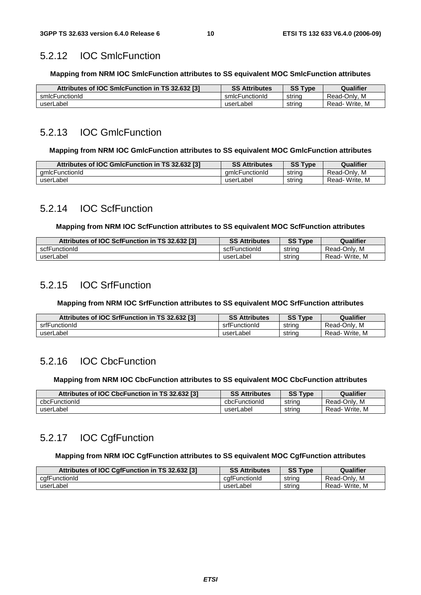### 5.2.12 IOC SmlcFunction

**Mapping from NRM IOC SmlcFunction attributes to SS equivalent MOC SmlcFunction attributes** 

| Attributes of IOC SmIcFunction in TS 32.632 [3] | <b>SS Attributes</b> | <b>SS Type</b> | Qualifier     |
|-------------------------------------------------|----------------------|----------------|---------------|
| smlcFunctionId                                  | smlcFunctionId       | strina         | Read-Only, M  |
| userLabel                                       | userLabel            | string         | Read-Write, M |

### 5.2.13 IOC GmlcFunction

#### **Mapping from NRM IOC GmlcFunction attributes to SS equivalent MOC GmlcFunction attributes**

| Attributes of IOC GmIcFunction in TS 32.632 [3] | <b>SS Attributes</b> | <b>SS Type</b> | Qualifier     |
|-------------------------------------------------|----------------------|----------------|---------------|
| amlcFunctionId                                  | amicFunctionId       | string         | Read-Only, M  |
| userLabel                                       | userLabel            | string         | Read-Write, M |

### 5.2.14 IOC ScfFunction

#### **Mapping from NRM IOC ScfFunction attributes to SS equivalent MOC ScfFunction attributes**

| Attributes of IOC ScfFunction in TS 32.632 [3] | <b>SS Attributes</b> | <b>SS Type</b> | Qualifier     |
|------------------------------------------------|----------------------|----------------|---------------|
| scfFunctionId                                  | scfFunctionId        | string         | Read-Only, M  |
| userLabel                                      | userLabel            | string         | Read-Write, M |

### 5.2.15 IOC SrfFunction

**Mapping from NRM IOC SrfFunction attributes to SS equivalent MOC SrfFunction attributes** 

| Attributes of IOC SrfFunction in TS 32.632 [3] | <b>SS Attributes</b> | <b>SS Type</b> | Qualifier     |
|------------------------------------------------|----------------------|----------------|---------------|
| srfFunctionId                                  | srfFunctionId        | string         | Read-Only, M  |
| userLabel                                      | userLabel            | string         | Read-Write, M |

# 5.2.16 IOC CbcFunction

#### **Mapping from NRM IOC CbcFunction attributes to SS equivalent MOC CbcFunction attributes**

| Attributes of IOC CbcFunction in TS 32.632 [3] | <b>SS Attributes</b> | <b>SS Type</b> | Qualifier     |
|------------------------------------------------|----------------------|----------------|---------------|
| cbcFunctionId                                  | cbcFunctionId        | strina         | Read-Only, M  |
| userLabel                                      | userLabel            | strina         | Read-Write. M |

# 5.2.17 IOC CgfFunction

#### **Mapping from NRM IOC CgfFunction attributes to SS equivalent MOC CgfFunction attributes**

| Attributes of IOC CgfFunction in TS 32.632 [3] | <b>SS Attributes</b> | <b>SS Type</b> | Qualifier     |
|------------------------------------------------|----------------------|----------------|---------------|
| cafFunctionId                                  | cafFunctionId        | string         | Read-Only, M  |
| userLabel                                      | userLabel            | string         | Read-Write, M |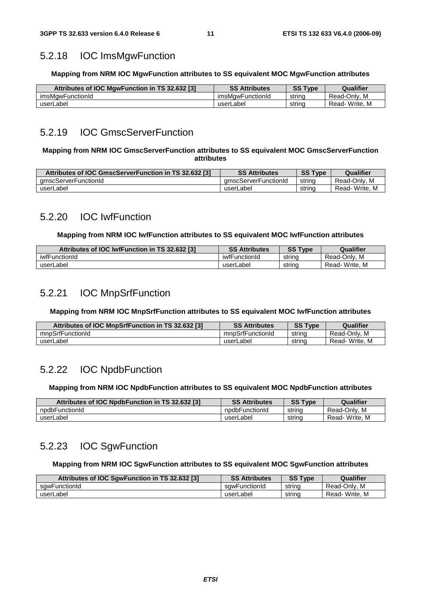### 5.2.18 IOC ImsMgwFunction

#### **Mapping from NRM IOC MgwFunction attributes to SS equivalent MOC MgwFunction attributes**

| Attributes of IOC MgwFunction in TS 32.632 [3] | <b>SS Attributes</b> | <b>SS Type</b> | Qualifier     |
|------------------------------------------------|----------------------|----------------|---------------|
| imsMawFunctionId                               | imsMawFunctionId     | string         | Read-Only, M  |
| userLabel                                      | userLabel            | string         | Read-Write, M |

### 5.2.19 IOC GmscServerFunction

#### **Mapping from NRM IOC GmscServerFunction attributes to SS equivalent MOC GmscServerFunction attributes**

| Attributes of IOC GmscServerFunction in TS 32.632 [3] | <b>SS Attributes</b> | <b>SS Type</b> | Qualifier     |
|-------------------------------------------------------|----------------------|----------------|---------------|
| amscServerFunctionId                                  | amscServerFunctionId | string         | Read-Only, M  |
| userLabel                                             | userLabel            | string         | Read-Write, M |

### 5.2.20 IOC IwfFunction

#### **Mapping from NRM IOC IwfFunction attributes to SS equivalent MOC IwfFunction attributes**

| Attributes of IOC IwfFunction in TS 32.632 [3] | <b>SS Attributes</b> | <b>SS Type</b> | Qualifier     |
|------------------------------------------------|----------------------|----------------|---------------|
| iwfFunctionId                                  | iwfFunctionId        | string         | Read-Only, M  |
| userLabel                                      | userLabel            | string         | Read-Write, M |

### 5.2.21 IOC MnpSrfFunction

#### **Mapping from NRM IOC MnpSrfFunction attributes to SS equivalent MOC IwfFunction attributes**

| Attributes of IOC MnpSrfFunction in TS 32.632 [3] | <b>SS Attributes</b> | <b>SS Type</b> | Qualifier     |
|---------------------------------------------------|----------------------|----------------|---------------|
| mnpSrfFunctionId                                  | mnpSrfFunctionId     | string         | Read-Only, M  |
| userLabel                                         | userLabel            | string         | Read-Write, M |

### 5.2.22 IOC NpdbFunction

#### **Mapping from NRM IOC NpdbFunction attributes to SS equivalent MOC NpdbFunction attributes**

| Attributes of IOC NpdbFunction in TS 32.632 [3] | <b>SS Attributes</b> | <b>SS Type</b> | Qualifier     |
|-------------------------------------------------|----------------------|----------------|---------------|
| npdbFunctionId                                  | npdbFunctionId       | strina         | Read-Only, M  |
| userLabel                                       | userLabel            | strina         | Read-Write, M |

### 5.2.23 IOC SgwFunction

#### **Mapping from NRM IOC SgwFunction attributes to SS equivalent MOC SgwFunction attributes**

| Attributes of IOC SgwFunction in TS 32.632 [3] | <b>SS Attributes</b> | <b>SS Type</b> | Qualifier     |
|------------------------------------------------|----------------------|----------------|---------------|
| sawFunctionId                                  | sawFunctionId        | string         | Read-Only, M  |
| userLabel                                      | userLabel            | string         | Read-Write, M |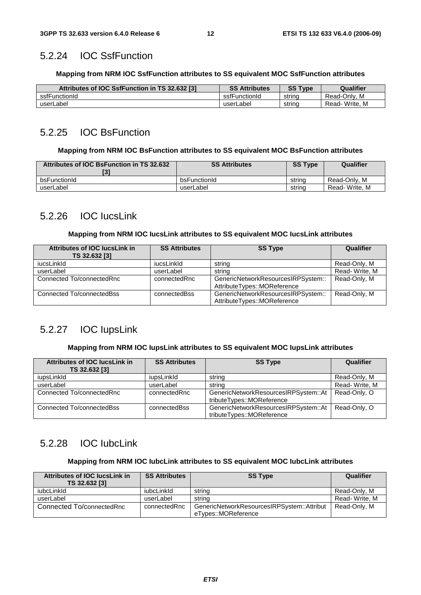### 5.2.24 IOC SsfFunction

#### **Mapping from NRM IOC SsfFunction attributes to SS equivalent MOC SsfFunction attributes**

| Attributes of IOC SsfFunction in TS 32.632 [3] | <b>SS Attributes</b> | <b>SS Type</b> | Qualifier         |
|------------------------------------------------|----------------------|----------------|-------------------|
| ssfFunctionId                                  | ssfFunctionId        | string         | . M<br>Read-Only. |
| userLabel                                      | userLabel            | strina         | Read-Write, M     |

### 5.2.25 IOC BsFunction

#### **Mapping from NRM IOC BsFunction attributes to SS equivalent MOC BsFunction attributes**

| Attributes of IOC BsFunction in TS 32.632 | <b>SS Attributes</b> | <b>SS Type</b> | Qualifier     |
|-------------------------------------------|----------------------|----------------|---------------|
| bsFunctionId                              | bsFunctionId         | strina         | Read-Only, M  |
| userLabel                                 | userLabel            | strina         | Read-Write, M |

### 5.2.26 IOC IucsLink

#### **Mapping from NRM IOC IucsLink attributes to SS equivalent MOC IucsLink attributes**

| <b>Attributes of IOC lucsLink in</b> | <b>SS Attributes</b> | <b>SS Type</b>                     | Qualifier     |
|--------------------------------------|----------------------|------------------------------------|---------------|
| TS 32.632 [3]                        |                      |                                    |               |
| iucsLinkId                           | iucsLinkId           | string                             | Read-Only, M  |
| userLabel                            | userLabel            | string                             | Read-Write, M |
| Connected To/connectedRnc            | connectedRnc         | GenericNetworkResourcesIRPSystem:: | Read-Only, M  |
|                                      |                      | AttributeTypes::MOReference        |               |
| Connected To/connectedBss            | connectedBss         | GenericNetworkResourcesIRPSystem:: | Read-Only, M  |
|                                      |                      | AttributeTypes::MOReference        |               |

### 5.2.27 IOC IupsLink

#### **Mapping from NRM IOC IupsLink attributes to SS equivalent MOC IupsLink attributes**

| <b>Attributes of IOC lucsLink in</b><br>TS 32.632 [3] | <b>SS Attributes</b> | <b>SS Type</b>                                                    | Qualifier     |
|-------------------------------------------------------|----------------------|-------------------------------------------------------------------|---------------|
| iupsLinkId                                            | iupsLinkld           | string                                                            | Read-Only, M  |
| userLabel                                             | userLabel            | string                                                            | Read-Write, M |
| Connected To/connectedRnc                             | connectedRnc         | GenericNetworkResourcesIRPSystem::At<br>tributeTypes::MOReference | Read-Only, O  |
| Connected To/connectedBss                             | connectedBss         | GenericNetworkResourcesIRPSystem::At<br>tributeTypes::MOReference | Read-Only, O  |

### 5.2.28 IOC IubcLink

#### **Mapping from NRM IOC IubcLink attributes to SS equivalent MOC IubcLink attributes**

| Attributes of IOC lucsLink in<br>TS 32.632 [3] | <b>SS Attributes</b> | <b>SS Type</b>                                                    | Qualifier     |
|------------------------------------------------|----------------------|-------------------------------------------------------------------|---------------|
| iubcLinkId                                     | iubcLinkld           | string                                                            | Read-Only, M  |
| userLabel                                      | userLabel            | string                                                            | Read-Write, M |
| Connected To/connectedRnc                      | connectedRnc         | GenericNetworkResourcesIRPSystem::Attribut<br>eTypes::MOReference | Read-Only, M  |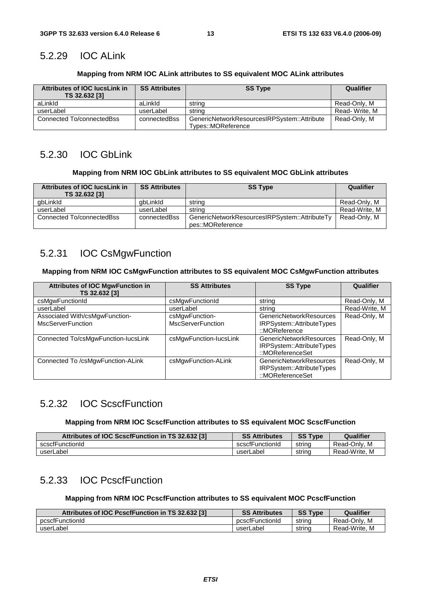# 5.2.29 IOC ALink

### **Mapping from NRM IOC ALink attributes to SS equivalent MOC ALink attributes**

| Attributes of IOC lucsLink in<br>TS 32.632 [3] | <b>SS Attributes</b> | <b>SS Type</b>                                                    | Qualifier     |
|------------------------------------------------|----------------------|-------------------------------------------------------------------|---------------|
| aLinkId                                        | aLinkId              | strina                                                            | Read-Only, M  |
| userLabel                                      | userLabel            | string                                                            | Read-Write, M |
| Connected To/connectedBss                      | connectedBss         | GenericNetworkResourcesIRPSystem::Attribute<br>Types::MOReference | Read-Only, M  |

# 5.2.30 IOC GbLink

### **Mapping from NRM IOC GbLink attributes to SS equivalent MOC GbLink attributes**

| Attributes of IOC lucsLink in<br>TS 32.632 [3] | <b>SS Attributes</b> | <b>SS Type</b>                                                    | Qualifier     |
|------------------------------------------------|----------------------|-------------------------------------------------------------------|---------------|
| gbLinkId                                       | abLinkId             | string                                                            | Read-Only, M  |
| userLabel                                      | userLabel            | string                                                            | Read-Write, M |
| Connected To/connectedBss                      | connectedBss         | GenericNetworkResourcesIRPSystem::AttributeTy<br>pes::MOReference | Read-Only, M  |

# 5.2.31 IOC CsMgwFunction

#### **Mapping from NRM IOC CsMgwFunction attributes to SS equivalent MOC CsMgwFunction attributes**

| <b>Attributes of IOC MgwFunction in</b><br>TS 32.632 [3]   | <b>SS Attributes</b>                       | <b>SS Type</b>                                                                          | Qualifier     |
|------------------------------------------------------------|--------------------------------------------|-----------------------------------------------------------------------------------------|---------------|
| csMgwFunctionId                                            | csMgwFunctionId                            | string                                                                                  | Read-Only, M  |
| userLabel                                                  | userLabel                                  | string                                                                                  | Read-Write, M |
| Associated With/csMgwFunction-<br><b>MscServerFunction</b> | csMgwFunction-<br><b>MscServerFunction</b> | <b>GenericNetworkResources</b><br>IRPSystem::AttributeTypes<br>$\therefore$ MOReference | Read-Only, M  |
| Connected To/csMgwFunction-lucsLink                        | csMgwFunction-lucsLink                     | GenericNetworkResources<br>IRPSystem::AttributeTypes<br>::MOReferenceSet                | Read-Only, M  |
| Connected To /csMgwFunction-ALink                          | csMgwFunction-ALink                        | <b>GenericNetworkResources</b><br>IRPSystem::AttributeTypes<br>::MOReferenceSet         | Read-Only, M  |

# 5.2.32 IOC ScscfFunction

### **Mapping from NRM IOC ScscfFunction attributes to SS equivalent MOC ScscfFunction**

| Attributes of IOC ScscfFunction in TS 32.632 [3] | <b>SS Attributes</b> | <b>SS Type</b> | Qualifier     |
|--------------------------------------------------|----------------------|----------------|---------------|
| scscfFunctionId                                  | scscfFunctionId      | string         | Read-Only, M  |
| userLabel                                        | userLabel            | strina         | Read-Write, M |

# 5.2.33 IOC PcscfFunction

### **Mapping from NRM IOC PcscfFunction attributes to SS equivalent MOC PcscfFunction**

| Attributes of IOC PcscfFunction in TS 32.632 [3] | <b>SS Attributes</b> | <b>SS Type</b> | Qualifier     |
|--------------------------------------------------|----------------------|----------------|---------------|
| pcscfFunctionId                                  | pcscfFunctionId      | string         | Read-Only, M  |
| userLabel                                        | userLabel            | string         | Read-Write, M |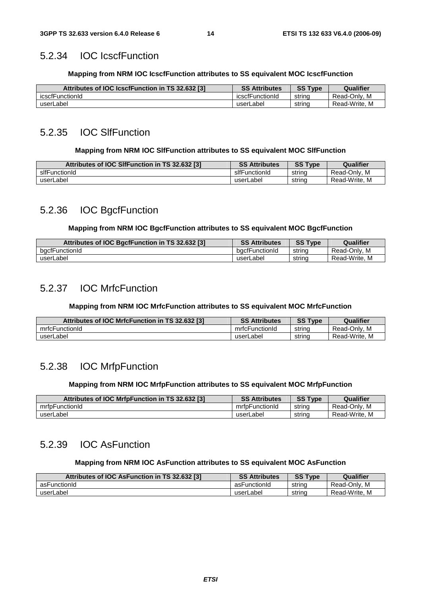### 5.2.34 IOC IcscfFunction

#### **Mapping from NRM IOC IcscfFunction attributes to SS equivalent MOC IcscfFunction**

| Attributes of IOC IcscfFunction in TS 32.632 [3] | <b>SS Attributes</b> | <b>SS Type</b> | Qualifier       |
|--------------------------------------------------|----------------------|----------------|-----------------|
| icscfFunctionId                                  | icscfFunctionId      | strina         | M<br>Read-Only. |
| userLabel                                        | userLabel            | string         | Read-Write, M   |

### 5.2.35 IOC SlfFunction

#### **Mapping from NRM IOC SlfFunction attributes to SS equivalent MOC SlfFunction**

| Attributes of IOC SIfFunction in TS 32.632 [3] | <b>SS Attributes</b> | <b>SS Type</b> | Qualifier        |
|------------------------------------------------|----------------------|----------------|------------------|
| slfFunctionId                                  | slfFunctionId        | strina         | Read-Only, M     |
| userLabel                                      | userLabel            | strina         | Read-Write.<br>M |

# 5.2.36 IOC BgcfFunction

#### **Mapping from NRM IOC BgcfFunction attributes to SS equivalent MOC BgcfFunction**

| Attributes of IOC BgcfFunction in TS 32.632 [3] | <b>SS Attributes</b> | <b>SS Type</b> | Qualifier     |
|-------------------------------------------------|----------------------|----------------|---------------|
| bacfFunctionId                                  | bacfFunctionId       | string         | Read-Only, M  |
| userLabel                                       | userLabel            | string         | Read-Write, M |

# 5.2.37 IOC MrfcFunction

### **Mapping from NRM IOC MrfcFunction attributes to SS equivalent MOC MrfcFunction**

| Attributes of IOC MrfcFunction in TS 32.632 [3] | <b>SS Attributes</b> | <b>SS Type</b> | Qualifier     |
|-------------------------------------------------|----------------------|----------------|---------------|
| mrfcFunctionId                                  | mrfcFunctionId       | string         | Read-Only, M  |
| userLabel                                       | userLabel            | strina         | Read-Write, M |

# 5.2.38 IOC MrfpFunction

#### **Mapping from NRM IOC MrfpFunction attributes to SS equivalent MOC MrfpFunction**

| Attributes of IOC MrfpFunction in TS 32.632 [3] | <b>SS Attributes</b> | <b>SS Type</b> | Qualifier     |
|-------------------------------------------------|----------------------|----------------|---------------|
| mrfpFunctionId                                  | mrfpFunctionId       | string         | Read-Only, M  |
| userLabel                                       | userLabel            | strina         | Read-Write, M |

### 5.2.39 IOC AsFunction

#### **Mapping from NRM IOC AsFunction attributes to SS equivalent MOC AsFunction**

| Attributes of IOC AsFunction in TS 32.632 [3] | <b>SS Attributes</b> | <b>SS Type</b> | Qualifier        |
|-----------------------------------------------|----------------------|----------------|------------------|
| asFunctionId                                  | asFunctionId         | strina         | Read-Only, M     |
| userLabel                                     | userLabel            | string         | M<br>Read-Write. |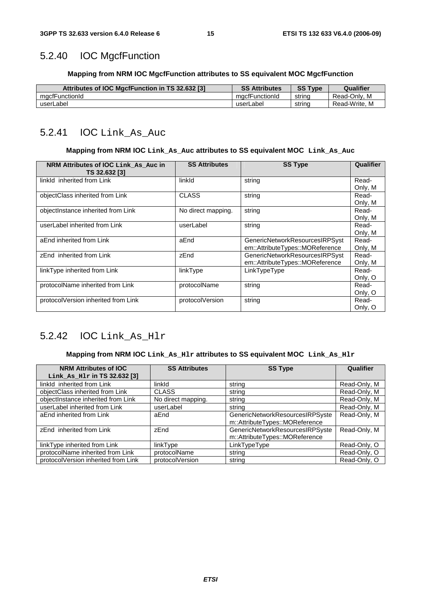### 5.2.40 IOC MgcfFunction

#### **Mapping from NRM IOC MgcfFunction attributes to SS equivalent MOC MgcfFunction**

| Attributes of IOC MgcfFunction in TS 32.632 [3] | <b>SS Attributes</b> | <b>SS Type</b> | Qualifier     |
|-------------------------------------------------|----------------------|----------------|---------------|
| macfFunctionId                                  | macfFunctionId       | strina         | Read-Only, M  |
| userLabel                                       | userLabel            | string         | Read-Write, M |

### 5.2.41 IOC Link\_As\_Auc

#### **Mapping from NRM IOC Link\_As\_Auc attributes to SS equivalent MOC Link\_As\_Auc**

| NRM Attributes of IOC Link As Auc in | <b>SS Attributes</b> | <b>SS Type</b>                  | Qualifier |
|--------------------------------------|----------------------|---------------------------------|-----------|
| TS 32.632 [3]                        |                      |                                 |           |
| linkld inherited from Link           | linkld               | string                          | Read-     |
|                                      |                      |                                 | Only, M   |
| objectClass inherited from Link      | <b>CLASS</b>         | string                          | Read-     |
|                                      |                      |                                 | Only, M   |
| objectInstance inherited from Link   | No direct mapping.   | string                          | Read-     |
|                                      |                      |                                 | Only, M   |
| userLabel inherited from Link        | userLabel            | string                          | Read-     |
|                                      |                      |                                 | Only, M   |
| aEnd inherited from Link             | aEnd                 | GenericNetworkResourcesIRPSyst  | Read-     |
|                                      |                      | em::AttributeTypes::MOReference | Only, M   |
| zEnd inherited from Link             | zEnd                 | GenericNetworkResourcesIRPSyst  | Read-     |
|                                      |                      | em::AttributeTypes::MOReference | Only, M   |
| linkType inherited from Link         | linkType             | LinkTypeType                    | Read-     |
|                                      |                      |                                 | Only, O   |
| protocolName inherited from Link     | protocolName         | string                          | Read-     |
|                                      |                      |                                 | Only, O   |
| protocolVersion inherited from Link  | protocolVersion      | string                          | Read-     |
|                                      |                      |                                 | Only, O   |

### 5.2.42 IOC Link\_As\_Hlr

#### **Mapping from NRM IOC Link\_As\_Hlr attributes to SS equivalent MOC Link\_As\_Hlr**

| <b>NRM Attributes of IOC</b><br>Link_As_Hlr in $TS$ 32.632 $[3]$ | <b>SS Attributes</b> | <b>SS Type</b>                                                    | Qualifier    |
|------------------------------------------------------------------|----------------------|-------------------------------------------------------------------|--------------|
| linkld inherited from Link                                       | linkld               | string                                                            | Read-Only, M |
| objectClass inherited from Link                                  | <b>CLASS</b>         | string                                                            | Read-Only, M |
| objectInstance inherited from Link                               | No direct mapping.   | string                                                            | Read-Only, M |
| userLabel inherited from Link                                    | userLabel            | string                                                            | Read-Only, M |
| aEnd inherited from Link                                         | aEnd                 | GenericNetworkResourcesIRPSyste<br>m::AttributeTypes::MOReference | Read-Only, M |
| zEnd inherited from Link                                         | zEnd                 | GenericNetworkResourcesIRPSyste<br>m::AttributeTypes::MOReference | Read-Only, M |
| linkType inherited from Link                                     | linkType             | LinkTypeType                                                      | Read-Only, O |
| protocolName inherited from Link                                 | protocolName         | string                                                            | Read-Only, O |
| protocolVersion inherited from Link                              | protocolVersion      | string                                                            | Read-Only, O |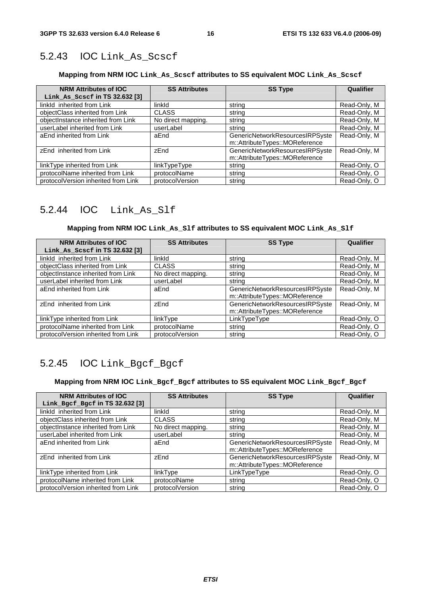# 5.2.43 IOC Link\_As\_Scscf

### **Mapping from NRM IOC Link\_As\_Scscf attributes to SS equivalent MOC Link\_As\_Scscf**

| <b>NRM Attributes of IOC</b><br>Link_As_Scscf in TS 32.632 [3] | <b>SS Attributes</b> | <b>SS Type</b>                                                    | Qualifier    |
|----------------------------------------------------------------|----------------------|-------------------------------------------------------------------|--------------|
| linkld inherited from Link                                     | linkld               | string                                                            | Read-Only, M |
| objectClass inherited from Link                                | <b>CLASS</b>         | string                                                            | Read-Only, M |
| objectInstance inherited from Link                             | No direct mapping.   | string                                                            | Read-Only, M |
| userLabel inherited from Link                                  | userLabel            | string                                                            | Read-Only, M |
| aEnd inherited from Link                                       | aEnd                 | GenericNetworkResourcesIRPSyste<br>m::AttributeTypes::MOReference | Read-Only, M |
| zEnd inherited from Link                                       | zEnd                 | GenericNetworkResourcesIRPSyste<br>m::AttributeTypes::MOReference | Read-Only, M |
| linkType inherited from Link                                   | linkTypeType         | string                                                            | Read-Only, O |
| protocolName inherited from Link                               | protocolName         | string                                                            | Read-Only, O |
| protocolVersion inherited from Link                            | protocolVersion      | string                                                            | Read-Only, O |

### 5.2.44 IOC Link\_As\_Slf

### **Mapping from NRM IOC Link\_As\_Slf attributes to SS equivalent MOC Link\_As\_Slf**

| <b>NRM Attributes of IOC</b><br>Link_As_Scscf in TS 32.632 [3] | <b>SS Attributes</b> | <b>SS Type</b>                                                    | Qualifier    |
|----------------------------------------------------------------|----------------------|-------------------------------------------------------------------|--------------|
| linkld inherited from Link                                     | linkld               | string                                                            | Read-Only, M |
| objectClass inherited from Link                                | <b>CLASS</b>         | string                                                            | Read-Only, M |
| objectInstance inherited from Link                             | No direct mapping.   | string                                                            | Read-Only, M |
| userLabel inherited from Link                                  | userLabel            | string                                                            | Read-Only, M |
| aEnd inherited from Link                                       | aEnd                 | GenericNetworkResourcesIRPSyste<br>m::AttributeTypes::MOReference | Read-Only, M |
| zEnd inherited from Link                                       | zEnd                 | GenericNetworkResourcesIRPSyste<br>m::AttributeTypes::MOReference | Read-Only, M |
| linkType inherited from Link                                   | linkType             | LinkTypeType                                                      | Read-Only, O |
| protocolName inherited from Link                               | protocolName         | string                                                            | Read-Only, O |
| protocolVersion inherited from Link                            | protocolVersion      | string                                                            | Read-Only, O |

# 5.2.45 IOC Link\_Bgcf\_Bgcf

#### **Mapping from NRM IOC Link\_Bgcf\_Bgcf attributes to SS equivalent MOC Link\_Bgcf\_Bgcf**

| <b>NRM Attributes of IOC</b><br>Link_Bgcf_Bgcf in TS 32.632 [3] | <b>SS Attributes</b> | <b>SS Type</b>                                                    | Qualifier    |
|-----------------------------------------------------------------|----------------------|-------------------------------------------------------------------|--------------|
| linkld inherited from Link                                      | linkld               | string                                                            | Read-Only, M |
| objectClass inherited from Link                                 | <b>CLASS</b>         | string                                                            | Read-Only, M |
| objectInstance inherited from Link                              | No direct mapping.   | string                                                            | Read-Only, M |
| userLabel inherited from Link                                   | userLabel            | string                                                            | Read-Only, M |
| aEnd inherited from Link                                        | aEnd                 | GenericNetworkResourcesIRPSyste<br>m::AttributeTypes::MOReference | Read-Only, M |
| zEnd inherited from Link                                        | zEnd                 | GenericNetworkResourcesIRPSyste<br>m::AttributeTypes::MOReference | Read-Only, M |
| linkType inherited from Link                                    | linkType             | LinkTypeType                                                      | Read-Only, O |
| protocolName inherited from Link                                | protocolName         | string                                                            | Read-Only, O |
| protocolVersion inherited from Link                             | protocolVersion      | string                                                            | Read-Only, O |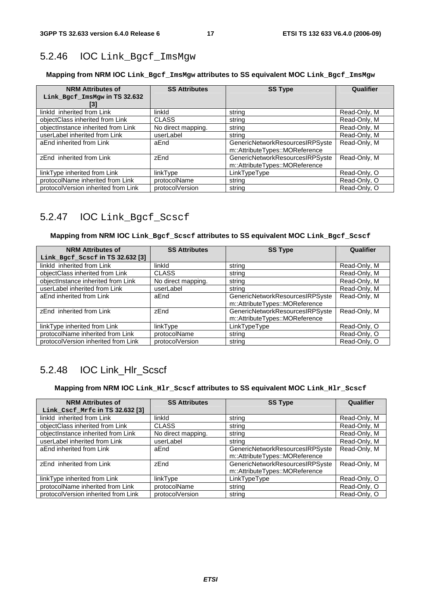# 5.2.46 IOC Link\_Bgcf\_ImsMgw

### **Mapping from NRM IOC Link\_Bgcf\_ImsMgw attributes to SS equivalent MOC Link\_Bgcf\_ImsMgw**

| <b>NRM Attributes of</b><br>Link_Bgcf_ImsMgw in TS 32.632<br>[3] | <b>SS Attributes</b> | <b>SS Type</b>                                                    | Qualifier    |
|------------------------------------------------------------------|----------------------|-------------------------------------------------------------------|--------------|
| linkld inherited from Link                                       | linkld               | string                                                            | Read-Only, M |
| objectClass inherited from Link                                  | <b>CLASS</b>         | string                                                            | Read-Only, M |
| objectInstance inherited from Link                               | No direct mapping.   | string                                                            | Read-Only, M |
| userLabel inherited from Link                                    | userLabel            | string                                                            | Read-Only, M |
| aEnd inherited from Link                                         | aEnd                 | GenericNetworkResourcesIRPSyste<br>m::AttributeTypes::MOReference | Read-Only, M |
| zEnd inherited from Link                                         | zEnd                 | GenericNetworkResourcesIRPSyste<br>m::AttributeTypes::MOReference | Read-Only, M |
| linkType inherited from Link                                     | linkType             | LinkTypeType                                                      | Read-Only, O |
| protocolName inherited from Link                                 | protocolName         | string                                                            | Read-Only, O |
| protocolVersion inherited from Link                              | protocolVersion      | string                                                            | Read-Only, O |

# 5.2.47 IOC Link\_Bgcf\_Scscf

#### **Mapping from NRM IOC Link\_Bgcf\_Scscf attributes to SS equivalent MOC Link\_Bgcf\_Scscf**

| <b>NRM Attributes of</b>            | <b>SS Attributes</b> | <b>SS Type</b>                  | Qualifier    |
|-------------------------------------|----------------------|---------------------------------|--------------|
| Link_Bgcf_Scscf in TS 32.632 [3]    |                      |                                 |              |
| linkld inherited from Link          | linkld               | string                          | Read-Only, M |
| objectClass inherited from Link     | <b>CLASS</b>         | string                          | Read-Only, M |
| objectInstance inherited from Link  | No direct mapping.   | string                          | Read-Only, M |
| userLabel inherited from Link       | userLabel            | string                          | Read-Only, M |
| aEnd inherited from Link            | aEnd                 | GenericNetworkResourcesIRPSyste | Read-Only, M |
|                                     |                      | m::AttributeTypes::MOReference  |              |
| zEnd inherited from Link            | zEnd                 | GenericNetworkResourcesIRPSyste | Read-Only, M |
|                                     |                      | m::AttributeTypes::MOReference  |              |
| linkType inherited from Link        | linkType             | LinkTypeType                    | Read-Only, O |
| protocolName inherited from Link    | protocolName         | string                          | Read-Only, O |
| protocolVersion inherited from Link | protocolVersion      | string                          | Read-Only, O |

# 5.2.48 IOC Link\_Hlr\_Scscf

### **Mapping from NRM IOC Link\_Hlr\_Scscf attributes to SS equivalent MOC Link\_Hlr\_Scscf**

| <b>NRM Attributes of</b><br>Link_Cscf_Mrfc in TS 32.632 [3] | <b>SS Attributes</b> | <b>SS Type</b>                                                    | Qualifier    |
|-------------------------------------------------------------|----------------------|-------------------------------------------------------------------|--------------|
| linkld inherited from Link                                  | linkld               | string                                                            | Read-Only, M |
| objectClass inherited from Link                             | <b>CLASS</b>         | string                                                            | Read-Only, M |
| objectInstance inherited from Link                          | No direct mapping.   | string                                                            | Read-Only, M |
| userLabel inherited from Link                               | userLabel            | string                                                            | Read-Only, M |
| aEnd inherited from Link                                    | aEnd                 | GenericNetworkResourcesIRPSyste<br>m::AttributeTypes::MOReference | Read-Only, M |
| zEnd inherited from Link                                    | zEnd                 | GenericNetworkResourcesIRPSyste<br>m::AttributeTypes::MOReference | Read-Only, M |
| linkType inherited from Link                                | linkType             | LinkTypeType                                                      | Read-Only, O |
| protocolName inherited from Link                            | protocolName         | string                                                            | Read-Only, O |
| protocolVersion inherited from Link                         | protocolVersion      | string                                                            | Read-Only, O |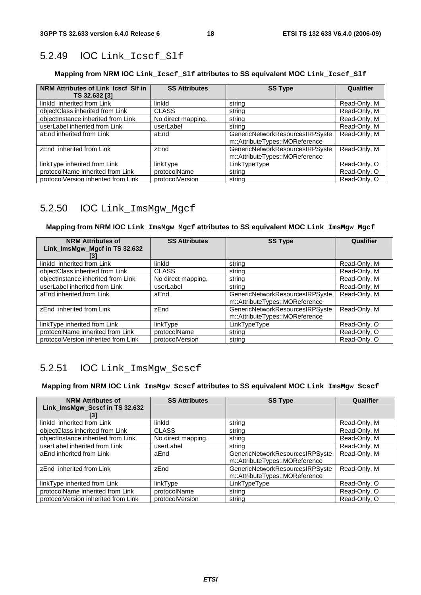### 5.2.49 IOC Link\_Icscf\_Slf

#### **Mapping from NRM IOC Link\_Icscf\_Slf attributes to SS equivalent MOC Link\_Icscf\_Slf**

| NRM Attributes of Link Icscf SIf in<br>TS 32.632 [3] | <b>SS Attributes</b> | <b>SS Type</b>                                                    | <b>Qualifier</b> |
|------------------------------------------------------|----------------------|-------------------------------------------------------------------|------------------|
| linkld inherited from Link                           | linkld               | string                                                            | Read-Only, M     |
| objectClass inherited from Link                      | <b>CLASS</b>         | string                                                            | Read-Only, M     |
| objectInstance inherited from Link                   | No direct mapping.   | string                                                            | Read-Only, M     |
| userLabel inherited from Link                        | userLabel            | string                                                            | Read-Only, M     |
| aEnd inherited from Link                             | aEnd                 | GenericNetworkResourcesIRPSyste<br>m::AttributeTypes::MOReference | Read-Only, M     |
| zEnd inherited from Link                             | zEnd                 | GenericNetworkResourcesIRPSyste<br>m::AttributeTypes::MOReference | Read-Only, M     |
| linkType inherited from Link                         | linkType             | LinkTypeType                                                      | Read-Only, O     |
| protocolName inherited from Link                     | protocolName         | string                                                            | Read-Only, O     |
| protocolVersion inherited from Link                  | protocolVersion      | string                                                            | Read-Only, O     |

### 5.2.50 IOC Link\_ImsMgw\_Mgcf

#### **Mapping from NRM IOC Link\_ImsMgw\_Mgcf attributes to SS equivalent MOC Link\_ImsMgw\_Mgcf**

| <b>NRM Attributes of</b><br>Link_ImsMgw_Mgcf in TS 32.632<br>[3] | <b>SS Attributes</b> | <b>SS Type</b>                                                    | Qualifier    |
|------------------------------------------------------------------|----------------------|-------------------------------------------------------------------|--------------|
| linkld inherited from Link                                       | linkld               | string                                                            | Read-Only, M |
| objectClass inherited from Link                                  | <b>CLASS</b>         | string                                                            | Read-Only, M |
| objectInstance inherited from Link                               | No direct mapping.   | string                                                            | Read-Only, M |
| userLabel inherited from Link                                    | userLabel            | string                                                            | Read-Only, M |
| aEnd inherited from Link                                         | aEnd                 | GenericNetworkResourcesIRPSyste<br>m::AttributeTypes::MOReference | Read-Only, M |
| zEnd inherited from Link                                         | zEnd                 | GenericNetworkResourcesIRPSyste<br>m::AttributeTypes::MOReference | Read-Only, M |
| linkType inherited from Link                                     | linkType             | LinkTypeType                                                      | Read-Only, O |
| protocolName inherited from Link                                 | protocolName         | string                                                            | Read-Only, O |
| protocolVersion inherited from Link                              | protocolVersion      | string                                                            | Read-Only, O |

### 5.2.51 IOC Link\_ImsMgw\_Scscf

#### **Mapping from NRM IOC Link\_ImsMgw\_Scscf attributes to SS equivalent MOC Link\_ImsMgw\_Scscf**

| <b>NRM Attributes of</b><br>Link_ImsMgw_Scscf in TS 32.632 | <b>SS Attributes</b> | <b>SS Type</b>                                                    | Qualifier    |
|------------------------------------------------------------|----------------------|-------------------------------------------------------------------|--------------|
| linkld inherited from Link                                 | linkld               | string                                                            | Read-Only, M |
| objectClass inherited from Link                            | <b>CLASS</b>         | string                                                            | Read-Only, M |
| objectInstance inherited from Link                         | No direct mapping.   | string                                                            | Read-Only, M |
| userLabel inherited from Link                              | userLabel            | string                                                            | Read-Only, M |
| aEnd inherited from Link                                   | aEnd                 | GenericNetworkResourcesIRPSyste<br>m::AttributeTypes::MOReference | Read-Only, M |
| zEnd inherited from Link                                   | zEnd                 | GenericNetworkResourcesIRPSyste<br>m::AttributeTypes::MOReference | Read-Only, M |
| linkType inherited from Link                               | linkType             | LinkTypeType                                                      | Read-Only, O |
| protocolName inherited from Link                           | protocolName         | string                                                            | Read-Only, O |
| protocolVersion inherited from Link                        | protocolVersion      | string                                                            | Read-Only, O |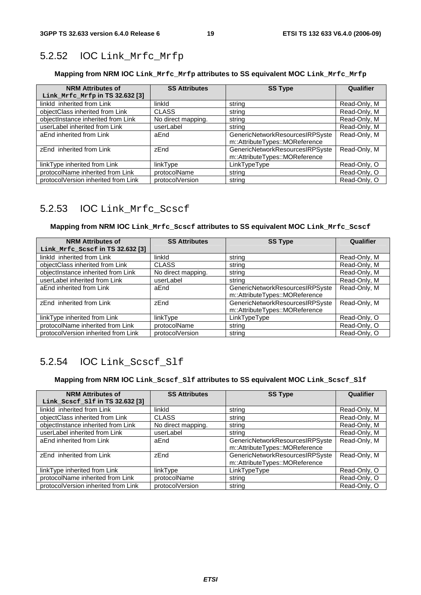# 5.2.52 IOC Link\_Mrfc\_Mrfp

### **Mapping from NRM IOC Link\_Mrfc\_Mrfp attributes to SS equivalent MOC Link\_Mrfc\_Mrfp**

| <b>NRM Attributes of</b><br>Link Mrfc Mrfp in TS 32.632 [3] | <b>SS Attributes</b> | <b>SS Type</b>                                                    | Qualifier    |
|-------------------------------------------------------------|----------------------|-------------------------------------------------------------------|--------------|
| linkld inherited from Link                                  | linkld               | string                                                            | Read-Only, M |
| objectClass inherited from Link                             | <b>CLASS</b>         | string                                                            | Read-Only, M |
| objectInstance inherited from Link                          | No direct mapping.   | string                                                            | Read-Only, M |
| userLabel inherited from Link                               | userLabel            | string                                                            | Read-Only, M |
| aEnd inherited from Link                                    | aEnd                 | GenericNetworkResourcesIRPSyste<br>m::AttributeTypes::MOReference | Read-Only, M |
| zEnd inherited from Link                                    | zEnd                 | GenericNetworkResourcesIRPSyste<br>m::AttributeTypes::MOReference | Read-Only, M |
| linkType inherited from Link                                | linkType             | LinkTypeType                                                      | Read-Only, O |
| protocolName inherited from Link                            | protocolName         | string                                                            | Read-Only, O |
| protocolVersion inherited from Link                         | protocolVersion      | string                                                            | Read-Only, O |

# 5.2.53 IOC Link\_Mrfc\_Scscf

#### **Mapping from NRM IOC Link\_Mrfc\_Scscf attributes to SS equivalent MOC Link\_Mrfc\_Scscf**

| <b>NRM Attributes of</b><br>Link_Mrfc_Scscf in TS 32.632 [3] | <b>SS Attributes</b> | <b>SS Type</b>                                                    | Qualifier    |
|--------------------------------------------------------------|----------------------|-------------------------------------------------------------------|--------------|
| linkld inherited from Link                                   | linkld               | string                                                            | Read-Only, M |
| objectClass inherited from Link                              | <b>CLASS</b>         | string                                                            | Read-Only, M |
| objectInstance inherited from Link                           | No direct mapping.   | string                                                            | Read-Only, M |
| userLabel inherited from Link                                | userLabel            | string                                                            | Read-Only, M |
| aEnd inherited from Link                                     | aEnd                 | GenericNetworkResourcesIRPSyste<br>m::AttributeTypes::MOReference | Read-Only, M |
| zEnd inherited from Link                                     | zEnd                 | GenericNetworkResourcesIRPSyste<br>m::AttributeTypes::MOReference | Read-Only, M |
| linkType inherited from Link                                 | linkType             | LinkTypeType                                                      | Read-Only, O |
| protocolName inherited from Link                             | protocolName         | string                                                            | Read-Only, O |
| protocolVersion inherited from Link                          | protocolVersion      | string                                                            | Read-Only, O |

# 5.2.54 IOC Link\_Scscf\_Slf

#### **Mapping from NRM IOC Link\_Scscf\_Slf attributes to SS equivalent MOC Link\_Scscf\_Slf**

| <b>NRM Attributes of</b>            | <b>SS Attributes</b><br><b>SS Type</b> |                                 |              | Qualifier |
|-------------------------------------|----------------------------------------|---------------------------------|--------------|-----------|
| Link_Scscf_Slf in $TS$ 32.632 $[3]$ |                                        |                                 |              |           |
| linkld inherited from Link          | linkld                                 | string                          | Read-Only, M |           |
| objectClass inherited from Link     | <b>CLASS</b>                           | string                          | Read-Only, M |           |
| objectInstance inherited from Link  | No direct mapping.                     | string                          | Read-Only, M |           |
| userLabel inherited from Link       | userLabel                              | string                          | Read-Only, M |           |
| aEnd inherited from Link            | aEnd                                   | GenericNetworkResourcesIRPSyste | Read-Only, M |           |
|                                     |                                        | m::AttributeTypes::MOReference  |              |           |
| zEnd inherited from Link            | zEnd                                   | GenericNetworkResourcesIRPSyste | Read-Only, M |           |
|                                     |                                        | m::AttributeTypes::MOReference  |              |           |
| linkType inherited from Link        | linkType                               | LinkTypeType                    | Read-Only, O |           |
| protocolName inherited from Link    | protocolName                           | string                          | Read-Only, O |           |
| protocolVersion inherited from Link | protocolVersion                        | string                          | Read-Only, O |           |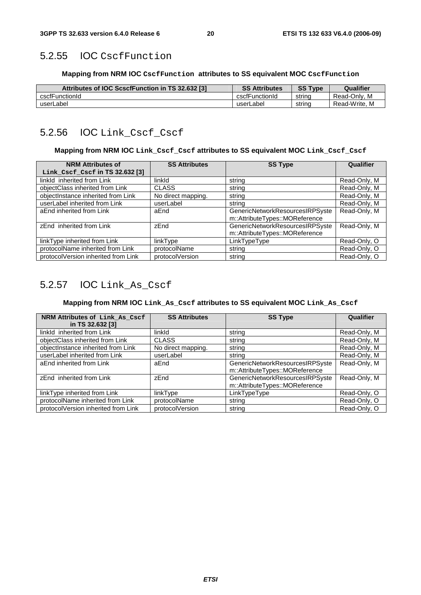### 5.2.55 IOC CscfFunction

#### **Mapping from NRM IOC CscfFunction attributes to SS equivalent MOC CscfFunction**

| Attributes of IOC ScscfFunction in TS 32.632 [3] | <b>SS Attributes</b> | <b>SS Type</b> | Qualifier     |
|--------------------------------------------------|----------------------|----------------|---------------|
| cscfFunctionId                                   | cscfFunctionId       | strina         | Read-Only, M  |
| userLabel                                        | userLabel            | strina         | Read-Write, M |

### 5.2.56 IOC Link\_Cscf\_Cscf

#### **Mapping from NRM IOC Link\_Cscf\_Cscf attributes to SS equivalent MOC Link\_Cscf\_Cscf**

| <b>NRM Attributes of</b><br>Link_Cscf_Cscf in TS 32.632 [3] | <b>SS Attributes</b> | <b>SS Type</b>                                                    | Qualifier    |
|-------------------------------------------------------------|----------------------|-------------------------------------------------------------------|--------------|
| linkld inherited from Link                                  | linkld               | string                                                            | Read-Only, M |
| objectClass inherited from Link                             | <b>CLASS</b>         | string                                                            | Read-Only, M |
| objectInstance inherited from Link                          | No direct mapping.   | string                                                            | Read-Only, M |
| userLabel inherited from Link                               | userLabel            | string                                                            | Read-Only, M |
| aEnd inherited from Link                                    | aEnd                 | GenericNetworkResourcesIRPSyste<br>m::AttributeTypes::MOReference | Read-Only, M |
| zEnd inherited from Link                                    | zEnd                 | GenericNetworkResourcesIRPSyste<br>m::AttributeTypes::MOReference | Read-Only, M |
| linkType inherited from Link                                | linkType             | LinkTypeType                                                      | Read-Only, O |
| protocolName inherited from Link                            | protocolName         | string                                                            | Read-Only, O |
| protocolVersion inherited from Link                         | protocolVersion      | string                                                            | Read-Only, O |

### 5.2.57 IOC Link\_As\_Cscf

#### **Mapping from NRM IOC Link\_As\_Cscf attributes to SS equivalent MOC Link\_As\_Cscf**

| NRM Attributes of Link As Cscf      | <b>SS Attributes</b> | <b>SS Type</b>                  | Qualifier    |
|-------------------------------------|----------------------|---------------------------------|--------------|
| in TS 32.632 [3]                    |                      |                                 |              |
| linkld inherited from Link          | linkld               | string                          | Read-Only, M |
| objectClass inherited from Link     | <b>CLASS</b>         | string                          | Read-Only, M |
| objectInstance inherited from Link  | No direct mapping.   | string                          | Read-Only, M |
| userLabel inherited from Link       | userLabel            | string                          | Read-Only, M |
| aEnd inherited from Link            | aEnd                 | GenericNetworkResourcesIRPSyste | Read-Only, M |
|                                     |                      | m::AttributeTypes::MOReference  |              |
| zEnd inherited from Link            | zEnd                 | GenericNetworkResourcesIRPSyste | Read-Only, M |
|                                     |                      | m::AttributeTypes::MOReference  |              |
| linkType inherited from Link        | linkType             | LinkTypeType                    | Read-Only, O |
| protocolName inherited from Link    | protocolName         | string                          | Read-Only, O |
| protocolVersion inherited from Link | protocolVersion      | string                          | Read-Only, O |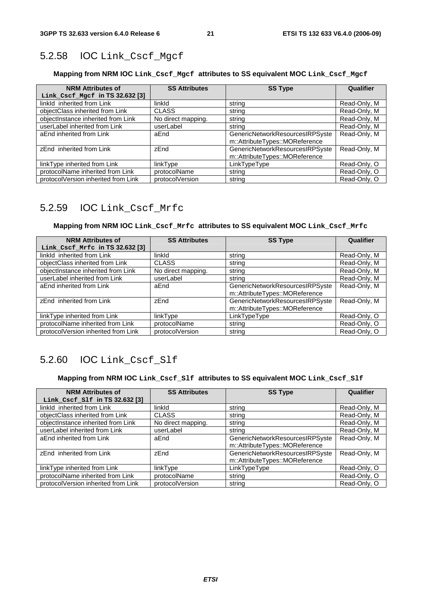# 5.2.58 IOC Link\_Cscf\_Mgcf

### **Mapping from NRM IOC Link\_Cscf\_Mgcf attributes to SS equivalent MOC Link\_Cscf\_Mgcf**

| <b>NRM Attributes of</b><br>Link_Cscf_Mgcf in TS 32.632 [3] | <b>SS Attributes</b> | <b>SS Type</b>                                                    | Qualifier    |
|-------------------------------------------------------------|----------------------|-------------------------------------------------------------------|--------------|
| linkld inherited from Link                                  | linkld               | string                                                            | Read-Only, M |
| objectClass inherited from Link                             | <b>CLASS</b>         | string                                                            | Read-Only, M |
| objectInstance inherited from Link                          | No direct mapping.   | string                                                            | Read-Only, M |
| userLabel inherited from Link                               | userLabel            | string                                                            | Read-Only, M |
| aEnd inherited from Link                                    | aEnd                 | GenericNetworkResourcesIRPSyste<br>m::AttributeTypes::MOReference | Read-Only, M |
| zEnd inherited from Link                                    | zEnd                 | GenericNetworkResourcesIRPSyste<br>m::AttributeTypes::MOReference | Read-Only, M |
| linkType inherited from Link                                | linkType             | LinkTypeType                                                      | Read-Only, O |
| protocolName inherited from Link                            | protocolName         | string                                                            | Read-Only, O |
| protocolVersion inherited from Link                         | protocolVersion      | string                                                            | Read-Only, O |

### 5.2.59 IOC Link\_Cscf\_Mrfc

#### **Mapping from NRM IOC Link\_Cscf\_Mrfc attributes to SS equivalent MOC Link\_Cscf\_Mrfc**

| <b>NRM Attributes of</b>            | <b>SS Attributes</b> | <b>SS Type</b>                  | Qualifier    |
|-------------------------------------|----------------------|---------------------------------|--------------|
| Link_Cscf_Mrfc in TS 32.632 [3]     |                      |                                 |              |
| linkId inherited from Link          | linkld               | string                          | Read-Only, M |
| objectClass inherited from Link     | <b>CLASS</b>         | string                          | Read-Only, M |
| objectInstance inherited from Link  | No direct mapping.   | string                          | Read-Only, M |
| userLabel inherited from Link       | userLabel            | string                          | Read-Only, M |
| aEnd inherited from Link            | aEnd                 | GenericNetworkResourcesIRPSyste | Read-Only, M |
|                                     |                      | m::AttributeTypes::MOReference  |              |
| zEnd inherited from Link            | zEnd                 | GenericNetworkResourcesIRPSyste | Read-Only, M |
|                                     |                      | m::AttributeTypes::MOReference  |              |
| linkType inherited from Link        | linkType             | LinkTypeType                    | Read-Only, O |
| protocolName inherited from Link    | protocolName         | string                          | Read-Only, O |
| protocolVersion inherited from Link | protocolVersion      | string                          | Read-Only, O |

### 5.2.60 IOC Link\_Cscf\_Slf

#### **Mapping from NRM IOC Link\_Cscf\_Slf attributes to SS equivalent MOC Link\_Cscf\_Slf**

| <b>NRM Attributes of</b>            | <b>SS Attributes</b> | <b>SS Type</b>                  | Qualifier    |
|-------------------------------------|----------------------|---------------------------------|--------------|
| Link_Cscf_Slf in TS 32.632 [3]      |                      |                                 |              |
| linkld inherited from Link          | linkld               | string                          | Read-Only, M |
| objectClass inherited from Link     | <b>CLASS</b>         | string                          | Read-Only, M |
| objectInstance inherited from Link  | No direct mapping.   | string                          | Read-Only, M |
| userLabel inherited from Link       | userLabel            | string                          | Read-Only, M |
| aEnd inherited from Link            | aEnd                 | GenericNetworkResourcesIRPSyste | Read-Only, M |
|                                     |                      | m::AttributeTypes::MOReference  |              |
| zEnd inherited from Link            | zEnd                 | GenericNetworkResourcesIRPSyste | Read-Only, M |
|                                     |                      | m::AttributeTypes::MOReference  |              |
| linkType inherited from Link        | linkType             | LinkTypeType                    | Read-Only, O |
| protocolName inherited from Link    | protocolName         | string                          | Read-Only, O |
| protocolVersion inherited from Link | protocolVersion      | string                          | Read-Only, O |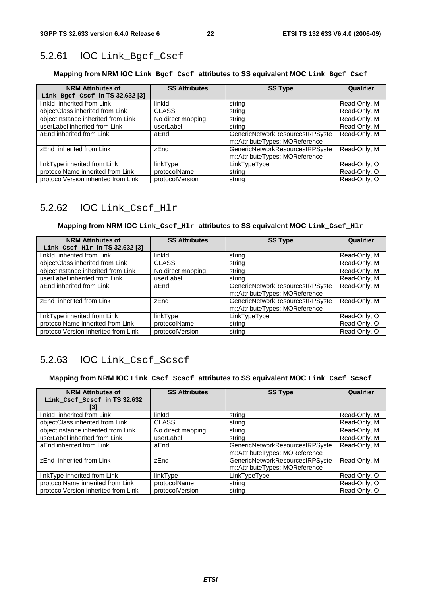# 5.2.61 IOC Link\_Bgcf\_Cscf

### **Mapping from NRM IOC Link\_Bgcf\_Cscf attributes to SS equivalent MOC Link\_Bgcf\_Cscf**

| <b>NRM Attributes of</b><br>Link_Bgcf_Cscf in TS 32.632 [3] | <b>SS Attributes</b> | <b>SS Type</b>                                                    | Qualifier    |
|-------------------------------------------------------------|----------------------|-------------------------------------------------------------------|--------------|
| linkld inherited from Link                                  | linkld               | string                                                            | Read-Only, M |
| objectClass inherited from Link                             | <b>CLASS</b>         | string                                                            | Read-Only, M |
| objectInstance inherited from Link                          | No direct mapping.   | string                                                            | Read-Only, M |
| userLabel inherited from Link                               | userLabel            | string                                                            | Read-Only, M |
| aEnd inherited from Link                                    | aEnd                 | GenericNetworkResourcesIRPSyste<br>m::AttributeTypes::MOReference | Read-Only, M |
| zEnd inherited from Link                                    | zEnd                 | GenericNetworkResourcesIRPSyste<br>m::AttributeTypes::MOReference | Read-Only, M |
| linkType inherited from Link                                | linkType             | LinkTypeType                                                      | Read-Only, O |
| protocolName inherited from Link                            | protocolName         | string                                                            | Read-Only, O |
| protocolVersion inherited from Link                         | protocolVersion      | string                                                            | Read-Only, O |

### 5.2.62 IOC Link\_Cscf\_Hlr

### **Mapping from NRM IOC Link\_Cscf\_Hlr attributes to SS equivalent MOC Link\_Cscf\_Hlr**

| <b>NRM Attributes of</b>            | <b>SS Attributes</b> | <b>SS Type</b>                  | Qualifier    |
|-------------------------------------|----------------------|---------------------------------|--------------|
| Link_Cscf_Hlr in TS 32.632 [3]      |                      |                                 |              |
| linkld inherited from Link          | linkld               | string                          | Read-Only, M |
| objectClass inherited from Link     | <b>CLASS</b>         | string                          | Read-Only, M |
| objectInstance inherited from Link  | No direct mapping.   | string                          | Read-Only, M |
| userLabel inherited from Link       | userLabel            | string                          | Read-Only, M |
| aEnd inherited from Link            | aEnd                 | GenericNetworkResourcesIRPSyste | Read-Only, M |
|                                     |                      | m::AttributeTypes::MOReference  |              |
| zEnd inherited from Link            | zEnd                 | GenericNetworkResourcesIRPSyste | Read-Only, M |
|                                     |                      | m::AttributeTypes::MOReference  |              |
| linkType inherited from Link        | linkType             | LinkTypeType                    | Read-Only, O |
| protocolName inherited from Link    | protocolName         | string                          | Read-Only, O |
| protocolVersion inherited from Link | protocolVersion      | string                          | Read-Only, O |

### 5.2.63 IOC Link\_Cscf\_Scscf

#### **Mapping from NRM IOC Link\_Cscf\_Scscf attributes to SS equivalent MOC Link\_Cscf\_Scscf**

| <b>NRM Attributes of</b>            | <b>SS Attributes</b> | <b>SS Type</b>                  | Qualifier    |  |
|-------------------------------------|----------------------|---------------------------------|--------------|--|
| Link_Cscf_Scscf in TS 32.632        |                      |                                 |              |  |
| 131                                 |                      |                                 |              |  |
| linkld inherited from Link          | linkld               | string                          | Read-Only, M |  |
| objectClass inherited from Link     | <b>CLASS</b>         | string                          | Read-Only, M |  |
| objectInstance inherited from Link  | No direct mapping.   | string                          | Read-Only, M |  |
| userLabel inherited from Link       | userLabel            | strina                          | Read-Only, M |  |
| aEnd inherited from Link            | aEnd                 | GenericNetworkResourcesIRPSyste | Read-Only, M |  |
|                                     |                      | m::AttributeTypes::MOReference  |              |  |
| zEnd inherited from Link            | zEnd                 | GenericNetworkResourcesIRPSyste | Read-Only, M |  |
|                                     |                      | m::AttributeTypes::MOReference  |              |  |
| linkType inherited from Link        | linkType             | LinkTypeType                    | Read-Only, O |  |
| protocolName inherited from Link    | protocolName         | string                          | Read-Only, O |  |
| protocolVersion inherited from Link | protocolVersion      | string                          | Read-Only, O |  |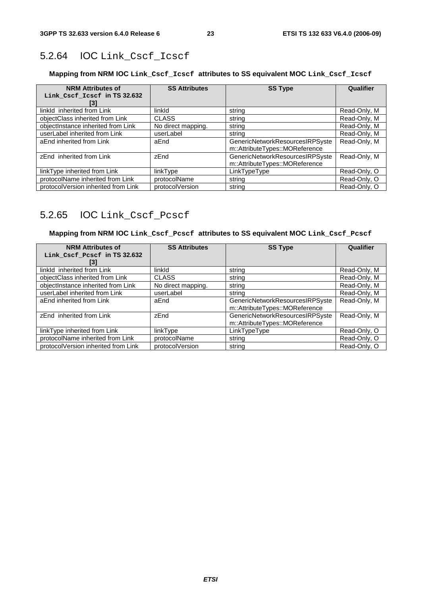# 5.2.64 IOC Link\_Cscf\_Icscf

### **Mapping from NRM IOC Link\_Cscf\_Icscf attributes to SS equivalent MOC Link\_Cscf\_Icscf**

| <b>NRM Attributes of</b><br>Link_Cscf_Icscf in TS 32.632<br>131 | <b>SS Attributes</b> | <b>SS Type</b>                                                    | Qualifier    |
|-----------------------------------------------------------------|----------------------|-------------------------------------------------------------------|--------------|
| linkld inherited from Link                                      | linkld               | string                                                            | Read-Only, M |
| objectClass inherited from Link                                 | <b>CLASS</b>         | string                                                            | Read-Only, M |
| objectInstance inherited from Link                              | No direct mapping.   | string                                                            | Read-Only, M |
| userLabel inherited from Link                                   | userLabel            | strina                                                            | Read-Only, M |
| aEnd inherited from Link                                        | aEnd                 | GenericNetworkResourcesIRPSyste<br>m::AttributeTypes::MOReference | Read-Only, M |
| zEnd inherited from Link                                        | zEnd                 | GenericNetworkResourcesIRPSyste<br>m::AttributeTypes::MOReference | Read-Only, M |
| linkType inherited from Link                                    | linkType             | LinkTypeType                                                      | Read-Only, O |
| protocolName inherited from Link                                | protocolName         | string                                                            | Read-Only, O |
| protocolVersion inherited from Link                             | protocolVersion      | string                                                            | Read-Only, O |

### 5.2.65 IOC Link\_Cscf\_Pcscf

#### **Mapping from NRM IOC Link\_Cscf\_Pcscf attributes to SS equivalent MOC Link\_Cscf\_Pcscf**

| <b>NRM Attributes of</b>            | <b>SS Attributes</b> | <b>SS Type</b>                  | Qualifier    |
|-------------------------------------|----------------------|---------------------------------|--------------|
| Link_Cscf_Pcscf in TS 32.632        |                      |                                 |              |
| 131                                 |                      |                                 |              |
| linkld inherited from Link          | linkld               | string                          | Read-Only, M |
| objectClass inherited from Link     | <b>CLASS</b>         | string                          | Read-Only, M |
| objectInstance inherited from Link  | No direct mapping.   | string                          | Read-Only, M |
| userLabel inherited from Link       | userLabel            | string                          | Read-Only, M |
| aEnd inherited from Link            | aEnd                 | GenericNetworkResourcesIRPSyste | Read-Only, M |
|                                     |                      | m::AttributeTypes::MOReference  |              |
| zEnd inherited from Link            | zEnd                 | GenericNetworkResourcesIRPSyste | Read-Only, M |
|                                     |                      | m::AttributeTypes::MOReference  |              |
| linkType inherited from Link        | linkType             | LinkTypeType                    | Read-Only, O |
| protocolName inherited from Link    | protocolName         | string                          | Read-Only, O |
| protocolVersion inherited from Link | protocolVersion      | string                          | Read-Only, O |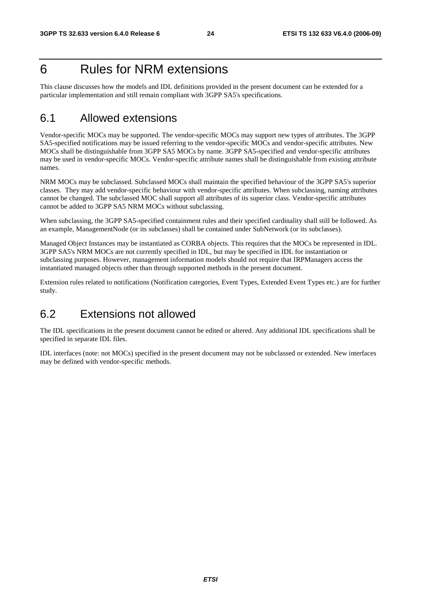# 6 Rules for NRM extensions

This clause discusses how the models and IDL definitions provided in the present document can be extended for a particular implementation and still remain compliant with 3GPP SA5's specifications.

# 6.1 Allowed extensions

Vendor-specific MOCs may be supported. The vendor-specific MOCs may support new types of attributes. The 3GPP SA5-specified notifications may be issued referring to the vendor-specific MOCs and vendor-specific attributes. New MOCs shall be distinguishable from 3GPP SA5 MOCs by name. 3GPP SA5-specified and vendor-specific attributes may be used in vendor-specific MOCs. Vendor-specific attribute names shall be distinguishable from existing attribute names.

NRM MOCs may be subclassed. Subclassed MOCs shall maintain the specified behaviour of the 3GPP SA5's superior classes. They may add vendor-specific behaviour with vendor-specific attributes. When subclassing, naming attributes cannot be changed. The subclassed MOC shall support all attributes of its superior class. Vendor-specific attributes cannot be added to 3GPP SA5 NRM MOCs without subclassing.

When subclassing, the 3GPP SA5-specified containment rules and their specified cardinality shall still be followed. As an example, ManagementNode (or its subclasses) shall be contained under SubNetwork (or its subclasses).

Managed Object Instances may be instantiated as CORBA objects. This requires that the MOCs be represented in IDL. 3GPP SA5's NRM MOCs are not currently specified in IDL, but may be specified in IDL for instantiation or subclassing purposes. However, management information models should not require that IRPManagers access the instantiated managed objects other than through supported methods in the present document.

Extension rules related to notifications (Notification categories, Event Types, Extended Event Types etc.) are for further study.

# 6.2 Extensions not allowed

The IDL specifications in the present document cannot be edited or altered. Any additional IDL specifications shall be specified in separate IDL files.

IDL interfaces (note: not MOCs) specified in the present document may not be subclassed or extended. New interfaces may be defined with vendor-specific methods.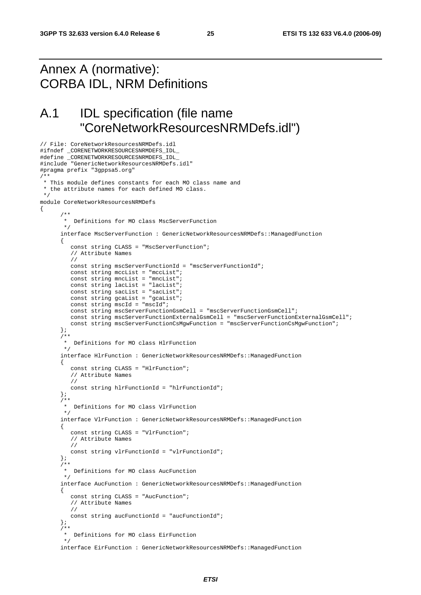# Annex A (normative): CORBA IDL, NRM Definitions

// File: CoreNetworkResourcesNRMDefs.idl

# A.1 IDL specification (file name "CoreNetworkResourcesNRMDefs.idl")

```
#ifndef _CORENETWORKRESOURCESNRMDEFS_IDL_ 
#define _CORENETWORKRESOURCESNRMDEFS_IDL_ 
#include "GenericNetworkResourcesNRMDefs.idl" 
#pragma prefix "3gppsa5.org" 
/** 
 * This module defines constants for each MO class name and 
  * the attribute names for each defined MO class. 
  */ 
module CoreNetworkResourcesNRMDefs 
{ 
 /** 
        * Definitions for MO class MscServerFunction 
        */ 
       interface MscServerFunction : GenericNetworkResourcesNRMDefs::ManagedFunction 
       { 
          const string CLASS = "MscServerFunction"; 
          // Attribute Names 
          // 
          const string mscServerFunctionId = "mscServerFunctionId"; 
          const string mccList = "mccList"; 
          const string mncList = "mncList"; 
         const string lacList = "lacList";
          const string sacList = "sacList"; 
 const string gcaList = "gcaList"; 
 const string mscId = "mscId"; 
          const string mscServerFunctionGsmCell = "mscServerFunctionGsmCell"; 
          const string mscServerFunctionExternalGsmCell = "mscServerFunctionExternalGsmCell"; 
          const string mscServerFunctionCsMgwFunction = "mscServerFunctionCsMgwFunction"; 
       }; 
 /** 
        * Definitions for MO class HlrFunction 
        */ 
      interface HlrFunction : GenericNetworkResourcesNRMDefs::ManagedFunction
       { 
          const string CLASS = "HlrFunction"; 
          // Attribute Names 
          // 
          const string hlrFunctionId = "hlrFunctionId"; 
       }; 
       /** 
        * Definitions for MO class VlrFunction 
        */ 
       interface VlrFunction : GenericNetworkResourcesNRMDefs::ManagedFunction 
      \left\{ \right. const string CLASS = "VlrFunction"; 
          // Attribute Names 
          // 
          const string vlrFunctionId = "vlrFunctionId"; 
       }; 
       /** 
        * Definitions for MO class AucFunction 
        */ 
       interface AucFunction : GenericNetworkResourcesNRMDefs::ManagedFunction 
       { 
          const string CLASS = "AucFunction"; 
          // Attribute Names 
          // 
          const string aucFunctionId = "aucFunctionId"; 
       }; 
      7** * Definitions for MO class EirFunction 
        */ 
       interface EirFunction : GenericNetworkResourcesNRMDefs::ManagedFunction
```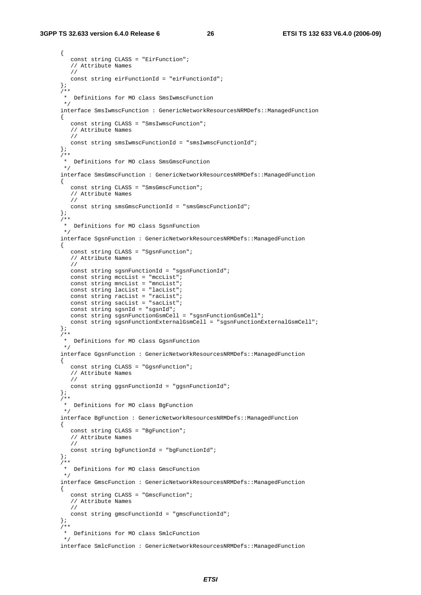#### **3GPP TS 32.633 version 6.4.0 Release 6 26 ETSI TS 132 633 V6.4.0 (2006-09)**

```
 { 
          const string CLASS = "EirFunction"; 
          // Attribute Names 
          // 
          const string eirFunctionId = "eirFunctionId"; 
       }; 
       /** 
        * Definitions for MO class SmsIwmscFunction 
        */ 
      interface SmsIwmscFunction : GenericNetworkResourcesNRMDefs: ManagedFunction
       { 
          const string CLASS = "SmsIwmscFunction"; 
          // Attribute Names 
          // 
          const string smsIwmscFunctionId = "smsIwmscFunctionId"; 
       }; 
       /** 
        * Definitions for MO class SmsGmscFunction 
        */ 
       interface SmsGmscFunction : GenericNetworkResourcesNRMDefs::ManagedFunction 
       { 
          const string CLASS = "SmsGmscFunction"; 
          // Attribute Names 
         // 
          const string smsGmscFunctionId = "smsGmscFunctionId"; 
       }; 
       /** 
        * Definitions for MO class SgsnFunction 
        */ 
       interface SgsnFunction : GenericNetworkResourcesNRMDefs::ManagedFunction 
       { 
          const string CLASS = "SgsnFunction"; 
          // Attribute Names 
          // 
          const string sgsnFunctionId = "sgsnFunctionId"; 
          const string mccList = "mccList"; 
          const string mncList = "mncList"; 
         const string lacList = "lacList";
         const string racList = "racList";
         const string sacList = "sacList";
          const string sgsnId = "sgsnId"; 
          const string sgsnFunctionGsmCell = "sgsnFunctionGsmCell"; 
        const string sgsnFunctionExternalGsmCell = "sgsnFunctionExternalGsmCell";
       }; 
      7** * Definitions for MO class GgsnFunction 
        */ 
      interface GgsnFunction : GenericNetworkResourcesNRMDefs: ManagedFunction
       { 
          const string CLASS = "GgsnFunction"; 
          // Attribute Names 
          // 
          const string ggsnFunctionId = "ggsnFunctionId"; 
       }; 
      7** * Definitions for MO class BgFunction 
        */ 
       interface BgFunction : GenericNetworkResourcesNRMDefs::ManagedFunction 
       { 
          const string CLASS = "BgFunction"; 
          // Attribute Names 
          // 
          const string bgFunctionId = "bgFunctionId"; 
       }; 
       /** 
        * Definitions for MO class GmscFunction 
        */ 
       interface GmscFunction : GenericNetworkResourcesNRMDefs::ManagedFunction 
       { 
          const string CLASS = "GmscFunction"; 
          // Attribute Names 
          // 
          const string gmscFunctionId = "gmscFunctionId"; 
       }; 
 /** 
        * Definitions for MO class SmlcFunction 
        */ 
      interface SmlcFunction : GenericNetworkResourcesNRMDefs: : ManagedFunction
```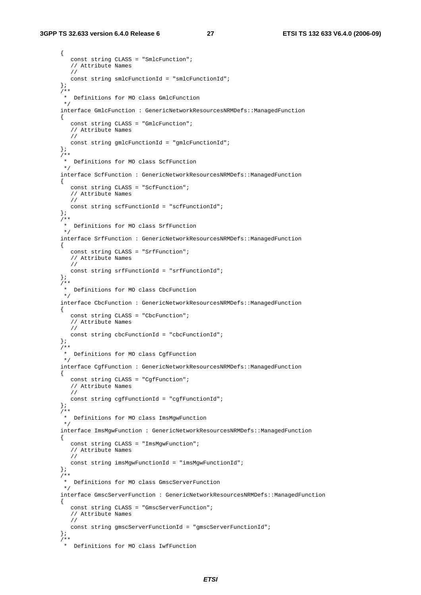#### **3GPP TS 32.633 version 6.4.0 Release 6 27 ETSI TS 132 633 V6.4.0 (2006-09)**

```
 { 
    const string CLASS = "SmlcFunction"; 
   // Attribute Names 
   // 
   const string smlcFunctionId = "smlcFunctionId"; 
 }; 
 /** 
  * Definitions for MO class GmlcFunction 
 */ 
interface GmlcFunction : GenericNetworkResourcesNRMDefs: ManagedFunction
 { 
    const string CLASS = "GmlcFunction"; 
    // Attribute Names 
   // 
   const string gmlcFunctionId = "gmlcFunctionId"; 
 }; 
 /** 
  * Definitions for MO class ScfFunction 
 */ 
 interface ScfFunction : GenericNetworkResourcesNRMDefs::ManagedFunction 
 { 
    const string CLASS = "ScfFunction"; 
   // Attribute Names 
   // 
   const string scfFunctionId = "scfFunctionId"; 
 }; 
 /** 
  * Definitions for MO class SrfFunction 
  */ 
 interface SrfFunction : GenericNetworkResourcesNRMDefs::ManagedFunction 
 { 
    const string CLASS = "SrfFunction"; 
   // Attribute Names 
   // 
   const string srfFunctionId = "srfFunctionId"; 
 }; 
 /** 
  * Definitions for MO class CbcFunction 
  */ 
interface CbcFunction : GenericNetworkResourcesNRMDefs::ManagedFunction
 { 
    const string CLASS = "CbcFunction"; 
   // Attribute Names 
    // 
    const string cbcFunctionId = "cbcFunctionId"; 
 }; 
 /** 
  * Definitions for MO class CgfFunction 
 */ 
 interface CgfFunction : GenericNetworkResourcesNRMDefs::ManagedFunction 
 { 
    const string CLASS = "CgfFunction"; 
    // Attribute Names 
    // 
   const string cgfFunctionId = "cgfFunctionId"; 
 }; 
 /** 
  * Definitions for MO class ImsMgwFunction 
 */ 
 interface ImsMgwFunction : GenericNetworkResourcesNRMDefs::ManagedFunction 
 { 
    const string CLASS = "ImsMgwFunction"; 
   // Attribute Names 
    // 
   const string imsMgwFunctionId = "imsMgwFunctionId"; 
 }; 
 /** 
  * Definitions for MO class GmscServerFunction 
  */ 
 interface GmscServerFunction : GenericNetworkResourcesNRMDefs::ManagedFunction 
 { 
    const string CLASS = "GmscServerFunction"; 
   // Attribute Names 
    // 
   const string gmscServerFunctionId = "gmscServerFunctionId"; 
 }; 
7** * Definitions for MO class IwfFunction
```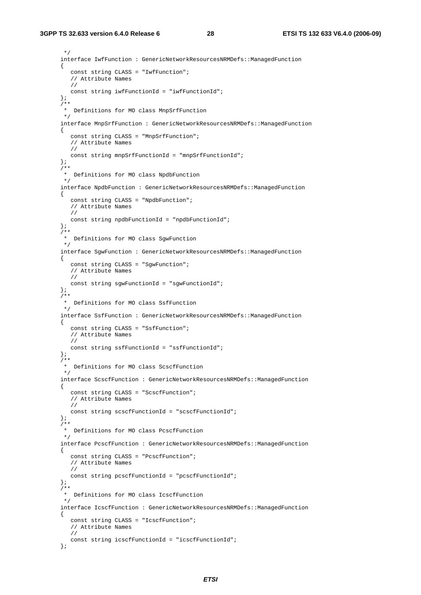#### **3GPP TS 32.633 version 6.4.0 Release 6 28 ETSI TS 132 633 V6.4.0 (2006-09)**

```
 */ 
 interface IwfFunction : GenericNetworkResourcesNRMDefs::ManagedFunction 
 { 
    const string CLASS = "IwfFunction"; 
    // Attribute Names 
    // 
   const string iwfFunctionId = "iwfFunctionId"; 
 }; 
7** * Definitions for MO class MnpSrfFunction 
 */ 
interface MnpSrfFunction : GenericNetworkResourcesNRMDefs: ManagedFunction
 { 
    const string CLASS = "MnpSrfFunction"; 
    // Attribute Names 
    // 
   const string mnpSrfFunctionId = "mnpSrfFunctionId"; 
 }; 
 /** 
 * Definitions for MO class NpdbFunction 
  */ 
 interface NpdbFunction : GenericNetworkResourcesNRMDefs::ManagedFunction 
 { 
    const string CLASS = "NpdbFunction"; 
    // Attribute Names 
    // 
   const string npdbFunctionId = "npdbFunctionId"; 
 }; 
 /** 
  * Definitions for MO class SgwFunction 
  */ 
 interface SgwFunction : GenericNetworkResourcesNRMDefs::ManagedFunction 
 { 
    const string CLASS = "SgwFunction"; 
    // Attribute Names 
    // 
   const string sgwFunctionId = "sgwFunctionId"; 
 }; 
 /** 
  * Definitions for MO class SsfFunction 
  */ 
 interface SsfFunction : GenericNetworkResourcesNRMDefs::ManagedFunction 
 { 
    const string CLASS = "SsfFunction"; 
   // Attribute Names 
   // 
    const string ssfFunctionId = "ssfFunctionId"; 
 }; 
 /** 
  * Definitions for MO class ScscfFunction 
  */ 
 interface ScscfFunction : GenericNetworkResourcesNRMDefs::ManagedFunction 
 { 
    const string CLASS = "ScscfFunction"; 
   // Attribute Names 
   // 
    const string scscfFunctionId = "scscfFunctionId"; 
 }; 
 /** 
  * Definitions for MO class PcscfFunction 
 */ 
 interface PcscfFunction : GenericNetworkResourcesNRMDefs::ManagedFunction 
 { 
    const string CLASS = "PcscfFunction"; 
   // Attribute Names 
    // 
    const string pcscfFunctionId = "pcscfFunctionId"; 
 }; 
 /** 
  * Definitions for MO class IcscfFunction 
 */ 
 interface IcscfFunction : GenericNetworkResourcesNRMDefs::ManagedFunction 
 { 
    const string CLASS = "IcscfFunction"; 
    // Attribute Names 
    // 
    const string icscfFunctionId = "icscfFunctionId"; 
 };
```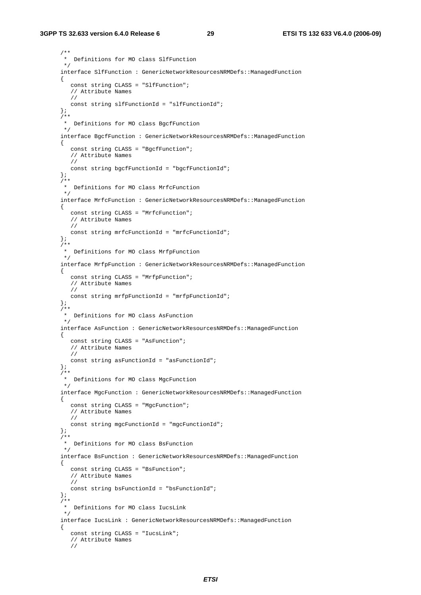```
 /** 
        * Definitions for MO class SlfFunction 
        */ 
       interface SlfFunction : GenericNetworkResourcesNRMDefs::ManagedFunction 
       { 
          const string CLASS = "SlfFunction"; 
          // Attribute Names 
         // 
          const string slfFunctionId = "slfFunctionId"; 
       }; 
       /** 
        * Definitions for MO class BgcfFunction 
        */ 
       interface BgcfFunction : GenericNetworkResourcesNRMDefs::ManagedFunction 
       { 
          const string CLASS = "BgcfFunction"; 
          // Attribute Names 
          // 
          const string bgcfFunctionId = "bgcfFunctionId"; 
       }; 
       /** 
        * Definitions for MO class MrfcFunction 
        */ 
      interface MrfcFunction : GenericNetworkResourcesNRMDefs: ManagedFunction
       { 
          const string CLASS = "MrfcFunction"; 
          // Attribute Names 
          // 
          const string mrfcFunctionId = "mrfcFunctionId"; 
       }; 
      7** * Definitions for MO class MrfpFunction 
        */ 
       interface MrfpFunction : GenericNetworkResourcesNRMDefs::ManagedFunction 
       { 
          const string CLASS = "MrfpFunction"; 
          // Attribute Names 
          // 
          const string mrfpFunctionId = "mrfpFunctionId"; 
       }; 
       /** 
        * Definitions for MO class AsFunction 
        */ 
       interface AsFunction : GenericNetworkResourcesNRMDefs::ManagedFunction 
       { 
          const string CLASS = "AsFunction"; 
          // Attribute Names 
          // 
          const string asFunctionId = "asFunctionId"; 
       }; 
      7** * Definitions for MO class MgcFunction 
        */ 
       interface MgcFunction : GenericNetworkResourcesNRMDefs::ManagedFunction 
       { 
          const string CLASS = "MgcFunction"; 
          // Attribute Names 
          // 
          const string mgcFunctionId = "mgcFunctionId"; 
       }; 
       /** 
        * Definitions for MO class BsFunction 
        */ 
       interface BsFunction : GenericNetworkResourcesNRMDefs::ManagedFunction 
       { 
          const string CLASS = "BsFunction"; 
          // Attribute Names 
          // 
          const string bsFunctionId = "bsFunctionId"; 
       }; 
       /** 
        * Definitions for MO class IucsLink 
        */ 
       interface IucsLink : GenericNetworkResourcesNRMDefs::ManagedFunction 
       { 
          const string CLASS = "IucsLink"; 
          // Attribute Names 
          //
```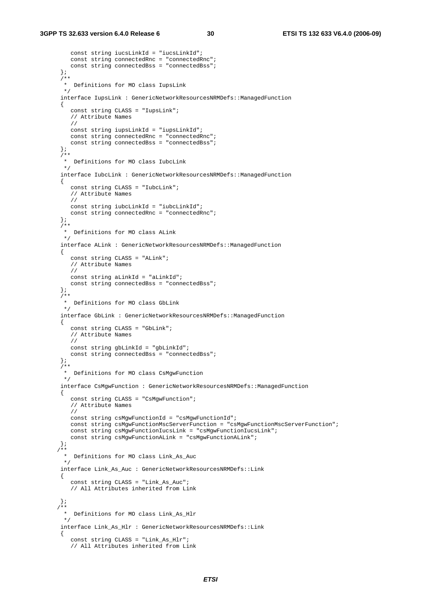```
 const string iucsLinkId = "iucsLinkId"; 
          const string connectedRnc = "connectedRnc"; 
         const string connectedBss = "connectedBss";
       }; 
       /** 
        * Definitions for MO class IupsLink 
        */ 
       interface IupsLink : GenericNetworkResourcesNRMDefs::ManagedFunction 
       { 
          const string CLASS = "IupsLink"; 
          // Attribute Names 
          // 
          const string iupsLinkId = "iupsLinkId"; 
          const string connectedRnc = "connectedRnc"; 
          const string connectedBss = "connectedBss"; 
       }; 
       /** 
        * Definitions for MO class IubcLink 
        */ 
      interface IubcLink : GenericNetworkResourcesNRMDefs: : ManagedFunction
       { 
          const string CLASS = "IubcLink"; 
          // Attribute Names 
          // 
          const string iubcLinkId = "iubcLinkId"; 
          const string connectedRnc = "connectedRnc"; 
       }; 
       /** 
        * Definitions for MO class ALink 
        */ 
       interface ALink : GenericNetworkResourcesNRMDefs::ManagedFunction 
       { 
          const string CLASS = "ALink"; 
          // Attribute Names 
          // 
          const string aLinkId = "aLinkId"; 
          const string connectedBss = "connectedBss"; 
       }; 
       /** 
        * Definitions for MO class GbLink 
        */ 
       interface GbLink : GenericNetworkResourcesNRMDefs::ManagedFunction 
       { 
          const string CLASS = "GbLink"; 
          // Attribute Names 
          // 
          const string gbLinkId = "gbLinkId"; 
          const string connectedBss = "connectedBss"; 
       }; 
       /** 
        * Definitions for MO class CsMgwFunction 
        */ 
       interface CsMgwFunction : GenericNetworkResourcesNRMDefs::ManagedFunction 
       { 
          const string CLASS = "CsMgwFunction"; 
          // Attribute Names 
          // 
          const string csMgwFunctionId = "csMgwFunctionId"; 
          const string csMgwFunctionMscServerFunction = "csMgwFunctionMscServerFunction"; 
          const string csMgwFunctionIucsLink = "csMgwFunctionIucsLink"; 
          const string csMgwFunctionALink = "csMgwFunctionALink"; 
       }; 
      /** 
        * Definitions for MO class Link_As_Auc 
        */ 
       interface Link_As_Auc : GenericNetworkResourcesNRMDefs::Link 
       { 
          const string CLASS = "Link_As_Auc"; 
          // All Attributes inherited from Link 
       }; 
      /** 
        Definitions for MO class Link_As_Hlr
        */ 
       interface Link_As_Hlr : GenericNetworkResourcesNRMDefs::Link 
\{ const string CLASS = "Link_As_Hlr"; 
          // All Attributes inherited from Link
```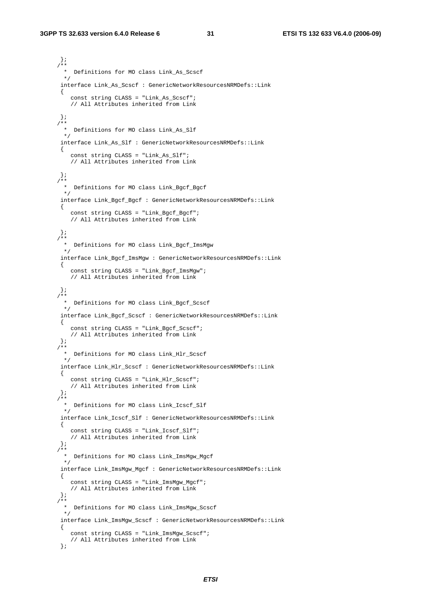}; /\*\* \* Definitions for MO class Link\_As\_Scscf  $\star$  interface Link\_As\_Scscf : GenericNetworkResourcesNRMDefs::Link { const string CLASS = "Link\_As\_Scscf"; // All Attributes inherited from Link }; ,<br>\* \* \* Definitions for MO class Link\_As\_Slf \*/ interface Link\_As\_Slf : GenericNetworkResourcesNRMDefs::Link { const string CLASS = "Link\_As\_Slf"; // All Attributes inherited from Link };  $7**$  \* Definitions for MO class Link\_Bgcf\_Bgcf \*/ interface Link\_Bgcf\_Bgcf : GenericNetworkResourcesNRMDefs::Link { const string CLASS = "Link\_Bgcf\_Bgcf"; // All Attributes inherited from Link }; /\*\* \* Definitions for MO class Link\_Bgcf\_ImsMgw \*/ interface Link\_Bgcf\_ImsMgw : GenericNetworkResourcesNRMDefs::Link { const string CLASS = "Link\_Bgcf\_ImsMgw"; // All Attributes inherited from Link  $\}$  ; /\*\* \* Definitions for MO class Link\_Bgcf\_Scscf  $\star$  interface Link\_Bgcf\_Scscf : GenericNetworkResourcesNRMDefs::Link { const string CLASS = "Link\_Bgcf\_Scscf"; // All Attributes inherited from Link }; /\*\* \* Definitions for MO class Link\_Hlr\_Scscf \*/ interface Link\_Hlr\_Scscf : GenericNetworkResourcesNRMDefs::Link { const string CLASS = "Link\_Hlr\_Scscf"; // All Attributes inherited from Link };  $4 *$  \* Definitions for MO class Link\_Icscf\_Slf \*/ interface Link\_Icscf\_Slf : GenericNetworkResourcesNRMDefs::Link { const string CLASS = "Link\_Icscf\_Slf"; // All Attributes inherited from Link }; /\*\* \* Definitions for MO class Link\_ImsMgw\_Mgcf \*/ interface Link\_ImsMgw\_Mgcf : GenericNetworkResourcesNRMDefs::Link { const string CLASS = "Link\_ImsMgw\_Mgcf"; // All Attributes inherited from Link }; /\*\* \* Definitions for MO class Link\_ImsMgw\_Scscf \*/ interface Link\_ImsMgw\_Scscf : GenericNetworkResourcesNRMDefs::Link { const string CLASS = "Link\_ImsMgw\_Scscf"; // All Attributes inherited from Link };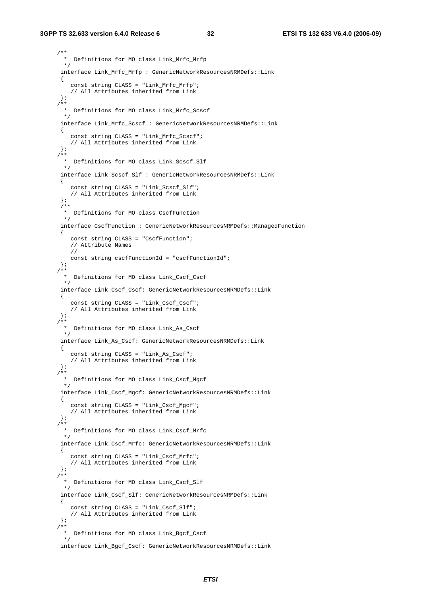#### **3GPP TS 32.633 version 6.4.0 Release 6 32 ETSI TS 132 633 V6.4.0 (2006-09)**

```
 /** 
  * Definitions for MO class Link_Mrfc_Mrfp 
  */ 
 interface Link_Mrfc_Mrfp : GenericNetworkResourcesNRMDefs::Link 
  { 
     const string CLASS = "Link_Mrfc_Mrfp"; 
    // All Attributes inherited from Link 
  }; 
 /** 
  * Definitions for MO class Link_Mrfc_Scscf 
  */ 
 interface Link_Mrfc_Scscf : GenericNetworkResourcesNRMDefs::Link 
  { 
     const string CLASS = "Link_Mrfc_Scscf"; 
    // All Attributes inherited from Link 
  }; 
 /** 
  * Definitions for MO class Link_Scscf_Slf 
  */ 
  interface Link_Scscf_Slf : GenericNetworkResourcesNRMDefs::Link 
  { 
     const string CLASS = "Link_Scscf_Slf"; 
    // All Attributes inherited from Link 
  }; 
 7** * Definitions for MO class CscfFunction 
  */ 
 interface CscfFunction : GenericNetworkResourcesNRMDefs: ManagedFunction
  { 
    const string CLASS = "CscfFunction"; 
    // Attribute Names 
    // 
    const string cscfFunctionId = "cscfFunctionId"; 
  }; 
 /** 
  * Definitions for MO class Link_Cscf_Cscf 
  */ 
 interface Link_Cscf_Cscf: GenericNetworkResourcesNRMDefs::Link 
  { 
     const string CLASS = "Link_Cscf_Cscf"; 
    // All Attributes inherited from Link 
  }; 
  /** 
  * Definitions for MO class Link_As_Cscf 
  */ 
  interface Link_As_Cscf: GenericNetworkResourcesNRMDefs::Link 
  { 
     const string CLASS = "Link_As_Cscf"; 
     // All Attributes inherited from Link 
  }; 
 /** 
   Definitions for MO class Link_Cscf_Mgcf
 \star /
  interface Link_Cscf_Mgcf: GenericNetworkResourcesNRMDefs::Link 
  { 
    const string CLASS = "Link_Cscf_Mgcf"; 
     // All Attributes inherited from Link 
  }; 
 /** 
   * Definitions for MO class Link_Cscf_Mrfc 
  */ 
  interface Link_Cscf_Mrfc: GenericNetworkResourcesNRMDefs::Link 
  { 
     const string CLASS = "Link_Cscf_Mrfc"; 
    // All Attributes inherited from Link 
  }; 
 /** 
   * Definitions for MO class Link_Cscf_Slf 
  */ 
  interface Link_Cscf_Slf: GenericNetworkResourcesNRMDefs::Link 
  { 
    const string CLASS = "Link_Cscf_Slf"; 
    // All Attributes inherited from Link 
  }; 
 /** 
  * Definitions for MO class Link_Bgcf_Cscf 
  */ 
 interface Link_Bgcf_Cscf: GenericNetworkResourcesNRMDefs::Link
```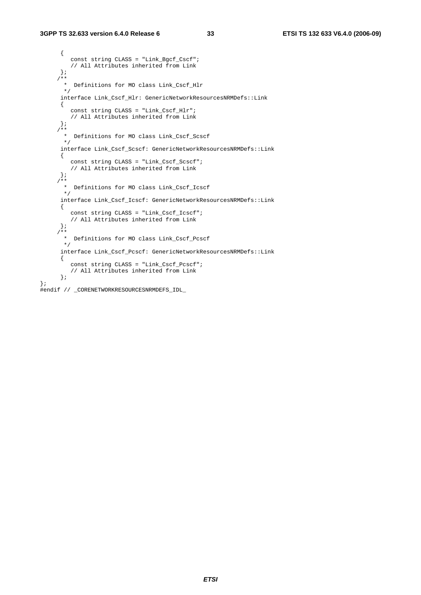};

```
 { 
         const string CLASS = "Link Bgcf Cscf";
          // All Attributes inherited from Link 
       }; 
      /** 
        * Definitions for MO class Link_Cscf_Hlr 
      \star /
      interface Link_Cscf_Hlr: GenericNetworkResourcesNRMDefs::Link 
       { 
         const string CLASS = "Link_Cscf_Hlr"; 
         // All Attributes inherited from Link 
 }; 
 /** 
        * Definitions for MO class Link_Cscf_Scscf 
       */ 
       interface Link_Cscf_Scscf: GenericNetworkResourcesNRMDefs::Link 
       { 
          const string CLASS = "Link_Cscf_Scscf"; 
         // All Attributes inherited from Link 
       }; 
     7** * Definitions for MO class Link_Cscf_Icscf 
       */ 
       interface Link_Cscf_Icscf: GenericNetworkResourcesNRMDefs::Link 
       { 
          const string CLASS = "Link_Cscf_Icscf"; 
         // All Attributes inherited from Link 
       }; 
     7** * Definitions for MO class Link_Cscf_Pcscf 
       */ 
       interface Link_Cscf_Pcscf: GenericNetworkResourcesNRMDefs::Link 
       { 
          const string CLASS = "Link_Cscf_Pcscf"; 
          // All Attributes inherited from Link 
       }; 
#endif // _CORENETWORKRESOURCESNRMDEFS_IDL_
```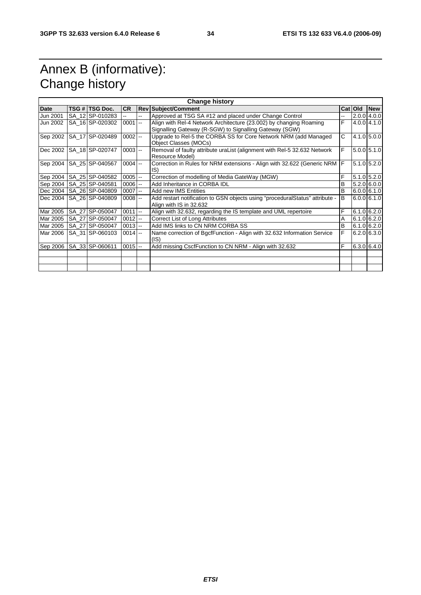# Annex B (informative): Change history

| <b>Change history</b> |  |                              |            |            |                                                                                                                              |    |         |                   |
|-----------------------|--|------------------------------|------------|------------|------------------------------------------------------------------------------------------------------------------------------|----|---------|-------------------|
| <b>Date</b>           |  | TSG # TSG Doc.               | <b>CR</b>  | <b>Rev</b> | <b>Subject/Comment</b>                                                                                                       |    | Cat Old | <b>New</b>        |
| Jun 2001              |  | SA 12 SP-010283              |            | --         | Approved at TSG SA #12 and placed under Change Control                                                                       | -- |         | 2.0.0 4.0.0       |
| Jun 2002              |  | SA 16 SP-020302              | $0001$ --  |            | Align with Rel-4 Network Architecture (23.002) by changing Roaming<br>Signalling Gateway (R-SGW) to Signalling Gateway (SGW) | F  |         | $4.0.0$ $ 4.1.0 $ |
| Sep 2002              |  | SA 17 SP-020489              | $0002$ --  |            | Upgrade to Rel-5 the CORBA SS for Core Network NRM (add Managed<br>Object Classes (MOCs)                                     | C  |         | 4.1.0 5.0.0       |
| Dec 2002              |  | SA 18 SP-020747              | $0003$ --  |            | Removal of faulty attribute uraList (alignment with Rel-5 32.632 Network<br>Resource Model)                                  | F. |         | $5.0.0$ 5.1.0     |
| Sep 2004              |  | SA 25 SP-040567              | $0004$ --  |            | Correction in Rules for NRM extensions - Align with 32.622 (Generic NRM<br>IS)                                               | IF |         | $5.1.0$ $5.2.0$   |
| Sep 2004              |  | SA 25 SP-040582              | $0005$ $-$ |            | Correction of modelling of Media GateWay (MGW)                                                                               | F  |         | $5.1.0$ $5.2.0$   |
|                       |  | Sep 2004   SA_25   SP-040581 | $0006$ $-$ |            | Add Inheritance in CORBA IDL                                                                                                 | В  |         | 5.2.060.01        |
| Dec 2004              |  | SA_26 SP-040809              | $0007$ --  |            | Add new IMS Entities                                                                                                         | B  |         | 6.0.061.1.0       |
|                       |  | Dec 2004   SA 26   SP-040809 | $0008$ --  |            | Add restart notification to GSN objects using "procedural Status" attribute -<br>Align with IS in 32.632                     | B  |         | 6.0.06.1.0        |
| Mar 2005              |  | SA 27 SP-050047              | $0011$ --  |            | Align with 32.632, regarding the IS template and UML repertoire                                                              | F  |         | $6.1.0$ 6.2.0     |
| Mar 2005              |  | SA_27 SP-050047              | $0012$ --  |            | Correct List of Long Attributes                                                                                              | Α  |         | $6.1.0$ 6.2.0     |
| Mar 2005              |  | SA_27 SP-050047              | $0013$ --  |            | Add IMS links to CN NRM CORBA SS                                                                                             | В  |         | 6.1.0 6.2.0       |
| Mar 2006              |  | SA 31 SP-060103              | $0014$ --  |            | Name correction of BgcfFunction - Align with 32.632 Information Service<br>(IS)                                              | F  |         | 6.2.0 6.3.0       |
|                       |  | Sep 2006   SA_33 SP-060611   | $0015$ --  |            | Add missing CscfFunction to CN NRM - Align with 32.632                                                                       | F  |         | 6.3.0 6.4.0       |
|                       |  |                              |            |            |                                                                                                                              |    |         |                   |
|                       |  |                              |            |            |                                                                                                                              |    |         |                   |